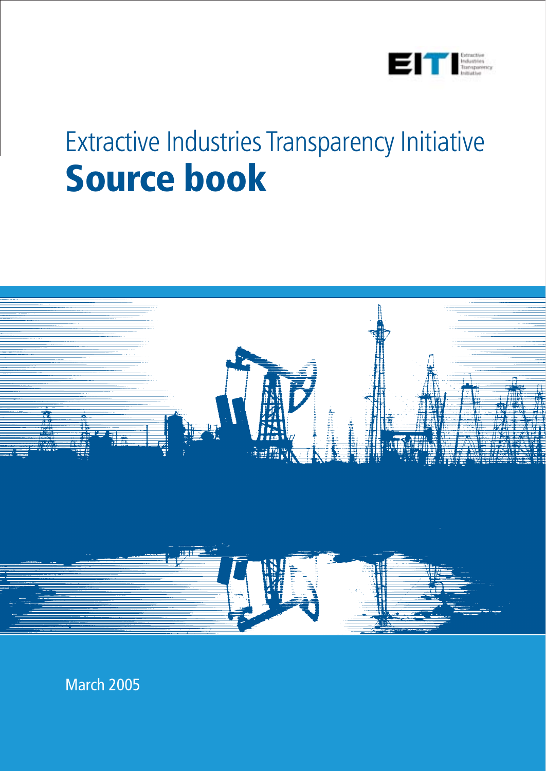

# Extractive Industries Transparency Initiative **Source book**



March 2005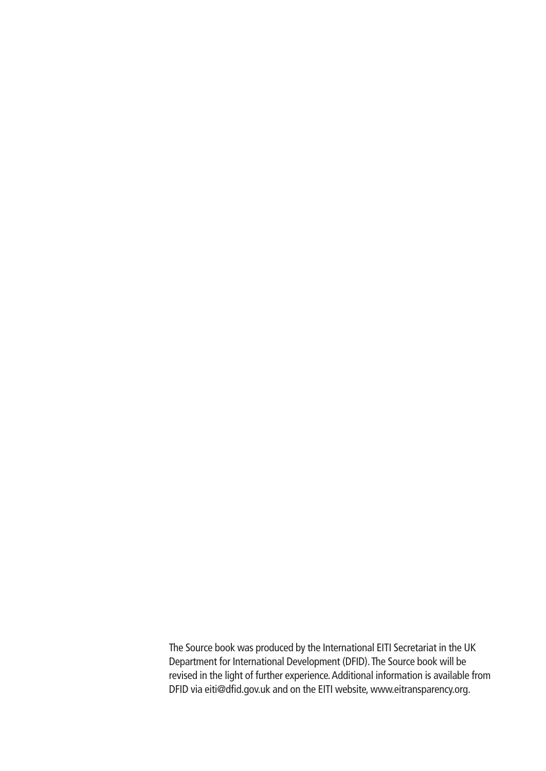The Source book was produced by the International EITI Secretariat in the UK Department for International Development (DFID).The Source book will be revised in the light of further experience.Additional information is available from DFID via eiti@dfid.gov.uk and on the EITI website, www.eitransparency.org.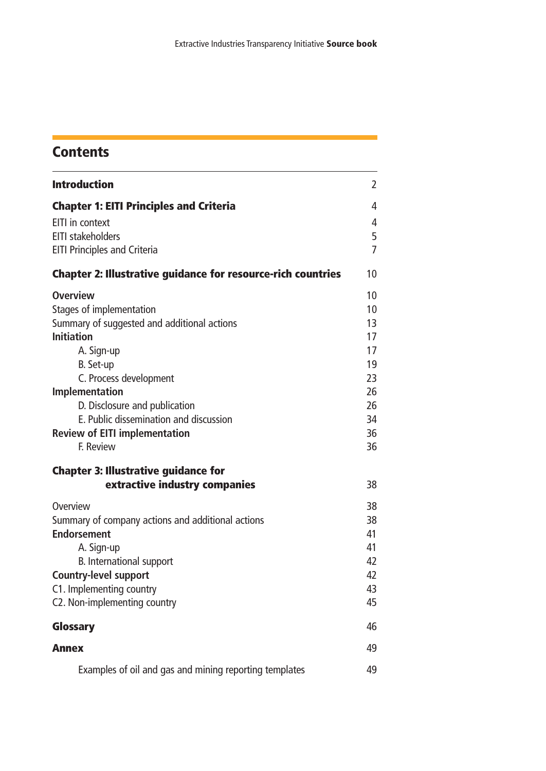### **Contents**

| <b>Introduction</b>                                                                                                                                                                                                                                                                                                           | $\overline{2}$                                                       |
|-------------------------------------------------------------------------------------------------------------------------------------------------------------------------------------------------------------------------------------------------------------------------------------------------------------------------------|----------------------------------------------------------------------|
| <b>Chapter 1: EITI Principles and Criteria</b><br>EITI in context<br><b>EITI stakeholders</b><br><b>EITI Principles and Criteria</b>                                                                                                                                                                                          | 4<br>4<br>5<br>$\overline{7}$                                        |
| <b>Chapter 2: Illustrative guidance for resource-rich countries</b>                                                                                                                                                                                                                                                           | 10                                                                   |
| <b>Overview</b><br>Stages of implementation<br>Summary of suggested and additional actions<br><b>Initiation</b><br>A. Sign-up<br>B. Set-up<br>C. Process development<br><b>Implementation</b><br>D. Disclosure and publication<br>E. Public dissemination and discussion<br><b>Review of EITI implementation</b><br>F. Review | 10<br>10<br>13<br>17<br>17<br>19<br>23<br>26<br>26<br>34<br>36<br>36 |
| <b>Chapter 3: Illustrative guidance for</b><br>extractive industry companies                                                                                                                                                                                                                                                  | 38                                                                   |
| Overview<br>Summary of company actions and additional actions<br><b>Endorsement</b><br>A. Sign-up<br>B. International support<br><b>Country-level support</b><br>C1. Implementing country<br>C2. Non-implementing country                                                                                                     | 38<br>38<br>41<br>41<br>42<br>42<br>43<br>45                         |
| <b>Glossary</b>                                                                                                                                                                                                                                                                                                               | 46                                                                   |
| <b>Annex</b>                                                                                                                                                                                                                                                                                                                  | 49                                                                   |
| Examples of oil and gas and mining reporting templates                                                                                                                                                                                                                                                                        | 49                                                                   |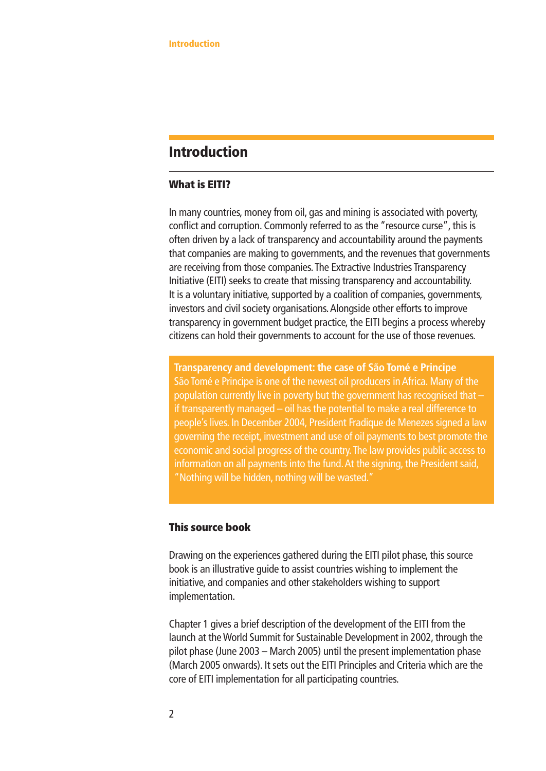#### **Introduction**

#### **What is EITI?**

In many countries, money from oil, gas and mining is associated with poverty, conflict and corruption. Commonly referred to as the "resource curse", this is often driven by a lack of transparency and accountability around the payments that companies are making to governments, and the revenues that governments are receiving from those companies.The Extractive Industries Transparency Initiative (EITI) seeks to create that missing transparency and accountability. It is a voluntary initiative, supported by a coalition of companies, governments, investors and civil society organisations.Alongside other efforts to improve transparency in government budget practice, the EITI begins a process whereby citizens can hold their governments to account for the use of those revenues.

**Transparency and development: the case of São Tomé e Principe** São Tomé e Principe is one of the newest oil producers in Africa. Many of the population currently live in poverty but the government has recognised that – if transparently managed – oil has the potential to make a real difference to people's lives. In December 2004, President Fradique de Menezes signed a law governing the receipt, investment and use of oil payments to best promote the economic and social progress of the country.The law provides public access to information on all payments into the fund.At the signing, the President said, "Nothing will be hidden, nothing will be wasted."

#### **This source book**

Drawing on the experiences gathered during the EITI pilot phase, this source book is an illustrative guide to assist countries wishing to implement the initiative, and companies and other stakeholders wishing to support implementation.

Chapter 1 gives a brief description of the development of the EITI from the launch at the World Summit for Sustainable Development in 2002, through the pilot phase (June 2003 – March 2005) until the present implementation phase (March 2005 onwards). It sets out the EITI Principles and Criteria which are the core of EITI implementation for all participating countries.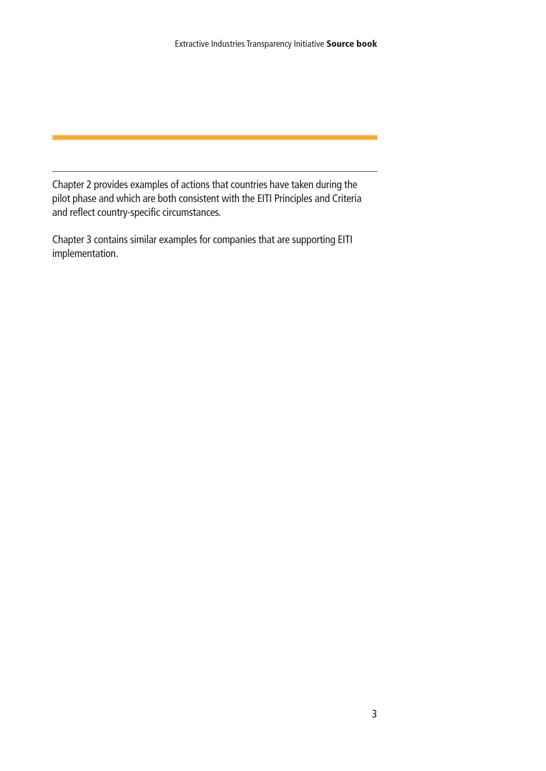Chapter 2 provides examples of actions that countries have taken during the pilot phase and which are both consistent with the EITI Principles and Criteria and reflect country-specific circumstances.

Chapter 3 contains similar examples for companies that are supporting EITI implementation.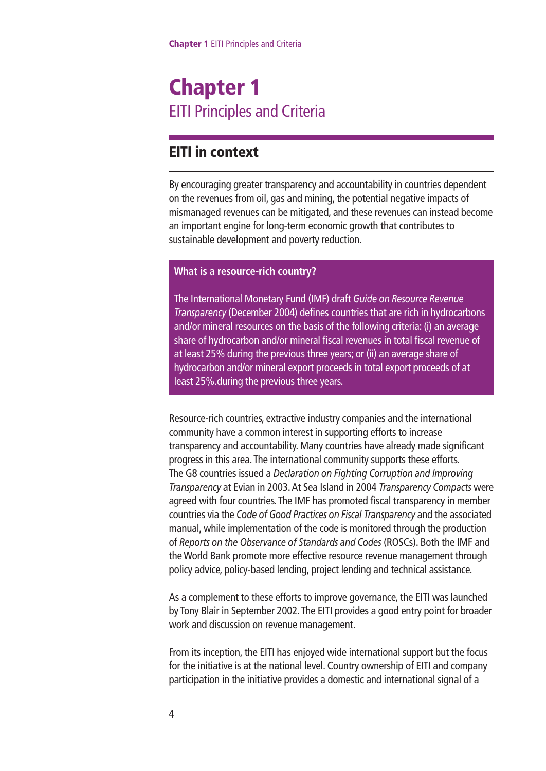## **Chapter 1** EITI Principles and Criteria

#### **EITI in context**

By encouraging greater transparency and accountability in countries dependent on the revenues from oil, gas and mining, the potential negative impacts of mismanaged revenues can be mitigated, and these revenues can instead become an important engine for long-term economic growth that contributes to sustainable development and poverty reduction.

#### **What is a resource-rich country?**

The International Monetary Fund (IMF) draft *Guide on Resource Revenue Transparency* (December 2004) defines countries that are rich in hydrocarbons and/or mineral resources on the basis of the following criteria: (i) an average share of hydrocarbon and/or mineral fiscal revenues in total fiscal revenue of at least 25% during the previous three years; or (ii) an average share of hydrocarbon and/or mineral export proceeds in total export proceeds of at least 25%.during the previous three years.

Resource-rich countries, extractive industry companies and the international community have a common interest in supporting efforts to increase transparency and accountability. Many countries have already made significant progress in this area.The international community supports these efforts. The G8 countries issued a *Declaration on Fighting Corruption and Improving Transparency* at Evian in 2003.At Sea Island in 2004 *Transparency Compacts* were agreed with four countries.The IMF has promoted fiscal transparency in member countries via the *Code of Good Practices on Fiscal Transparency* and the associated manual, while implementation of the code is monitored through the production of *Reports on the Observance of Standards and Codes* (ROSCs). Both the IMF and the World Bank promote more effective resource revenue management through policy advice, policy-based lending, project lending and technical assistance.

As a complement to these efforts to improve governance, the EITI was launched by Tony Blair in September 2002.The EITI provides a good entry point for broader work and discussion on revenue management.

From its inception, the EITI has enjoyed wide international support but the focus for the initiative is at the national level. Country ownership of EITI and company participation in the initiative provides a domestic and international signal of a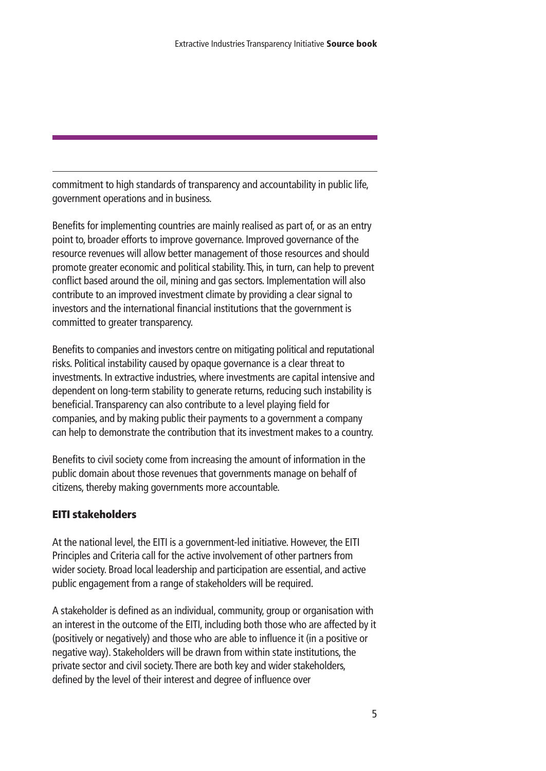commitment to high standards of transparency and accountability in public life, government operations and in business.

Benefits for implementing countries are mainly realised as part of, or as an entry point to, broader efforts to improve governance. Improved governance of the resource revenues will allow better management of those resources and should promote greater economic and political stability.This, in turn, can help to prevent conflict based around the oil, mining and gas sectors. Implementation will also contribute to an improved investment climate by providing a clear signal to investors and the international financial institutions that the government is committed to greater transparency.

Benefits to companies and investors centre on mitigating political and reputational risks. Political instability caused by opaque governance is a clear threat to investments. In extractive industries, where investments are capital intensive and dependent on long-term stability to generate returns, reducing such instability is beneficial.Transparency can also contribute to a level playing field for companies, and by making public their payments to a government a company can help to demonstrate the contribution that its investment makes to a country.

Benefits to civil society come from increasing the amount of information in the public domain about those revenues that governments manage on behalf of citizens, thereby making governments more accountable.

#### **EITI stakeholders**

At the national level, the EITI is a government-led initiative. However, the EITI Principles and Criteria call for the active involvement of other partners from wider society. Broad local leadership and participation are essential, and active public engagement from a range of stakeholders will be required.

A stakeholder is defined as an individual, community, group or organisation with an interest in the outcome of the EITI, including both those who are affected by it (positively or negatively) and those who are able to influence it (in a positive or negative way). Stakeholders will be drawn from within state institutions, the private sector and civil society.There are both key and wider stakeholders, defined by the level of their interest and degree of influence over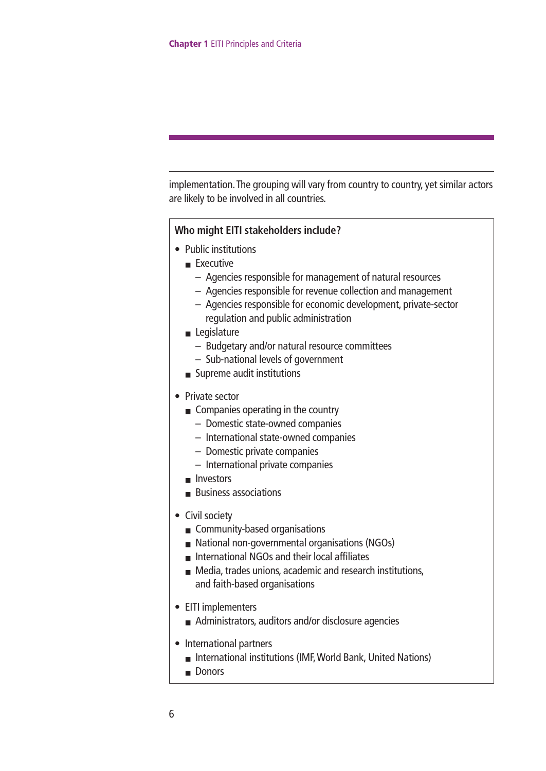implementation. The grouping will vary from country to country, yet similar actors are likely to be involved in all countries.

#### **Who might EITI stakeholders include?**

- Public institutions
	- Executive
		- Agencies responsible for management of natural resources
		- Agencies responsible for revenue collection and management
		- Agencies responsible for economic development, private-sector regulation and public administration
	- Legislature
		- Budgetary and/or natural resource committees
		- Sub-national levels of government
	- Supreme audit institutions
- Private sector
	- Companies operating in the country
		- Domestic state-owned companies
		- International state-owned companies
		- Domestic private companies
		- International private companies
	- Investors
	- Business associations
- Civil society
	- Community-based organisations
	- National non-governmental organisations (NGOs)
	- International NGOs and their local affiliates
	- Media, trades unions, academic and research institutions, and faith-based organisations
- EITI implementers
	- Administrators, auditors and/or disclosure agencies
- International partners
	- International institutions (IMF, World Bank, United Nations)
	- Donors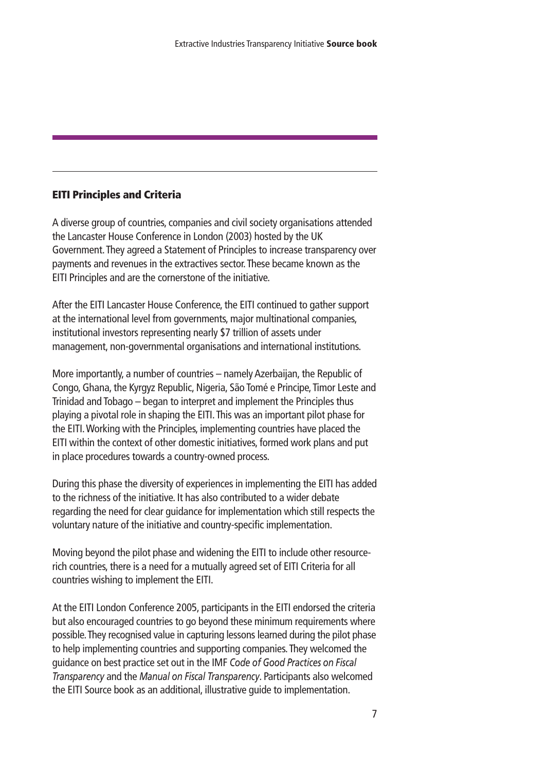#### **EITI Principles and Criteria**

A diverse group of countries, companies and civil society organisations attended the Lancaster House Conference in London (2003) hosted by the UK Government.They agreed a Statement of Principles to increase transparency over payments and revenues in the extractives sector.These became known as the EITI Principles and are the cornerstone of the initiative.

After the EITI Lancaster House Conference, the EITI continued to gather support at the international level from governments, major multinational companies, institutional investors representing nearly \$7 trillion of assets under management, non-governmental organisations and international institutions.

More importantly, a number of countries – namely Azerbaijan, the Republic of Congo, Ghana, the Kyrgyz Republic, Nigeria, São Tomé e Principe,Timor Leste and Trinidad and Tobago – began to interpret and implement the Principles thus playing a pivotal role in shaping the EITI.This was an important pilot phase for the EITI.Working with the Principles, implementing countries have placed the EITI within the context of other domestic initiatives, formed work plans and put in place procedures towards a country-owned process.

During this phase the diversity of experiences in implementing the EITI has added to the richness of the initiative. It has also contributed to a wider debate regarding the need for clear guidance for implementation which still respects the voluntary nature of the initiative and country-specific implementation.

Moving beyond the pilot phase and widening the EITI to include other resourcerich countries, there is a need for a mutually agreed set of EITI Criteria for all countries wishing to implement the EITI.

At the EITI London Conference 2005, participants in the EITI endorsed the criteria but also encouraged countries to go beyond these minimum requirements where possible.They recognised value in capturing lessons learned during the pilot phase to help implementing countries and supporting companies.They welcomed the guidance on best practice set out in the IMF *Code of Good Practices on Fiscal Transparency* and the *Manual on Fiscal Transparency*. Participants also welcomed the EITI Source book as an additional, illustrative guide to implementation.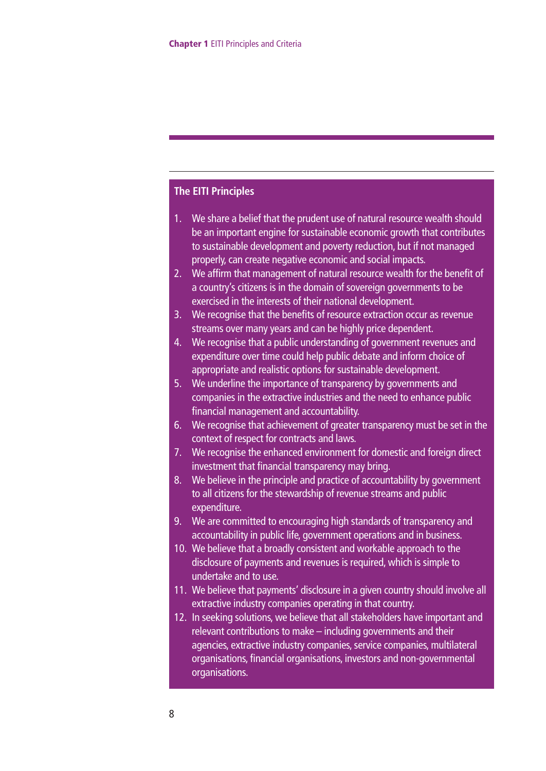#### **The EITI Principles**

- 1. We share a belief that the prudent use of natural resource wealth should be an important engine for sustainable economic growth that contributes to sustainable development and poverty reduction, but if not managed properly, can create negative economic and social impacts.
- 2. We affirm that management of natural resource wealth for the benefit of a country's citizens is in the domain of sovereign governments to be exercised in the interests of their national development.
- 3. We recognise that the benefits of resource extraction occur as revenue streams over many years and can be highly price dependent.
- 4. We recognise that a public understanding of government revenues and expenditure over time could help public debate and inform choice of appropriate and realistic options for sustainable development.
- 5. We underline the importance of transparency by governments and companies in the extractive industries and the need to enhance public financial management and accountability.
- 6. We recognise that achievement of greater transparency must be set in the context of respect for contracts and laws.
- 7. We recognise the enhanced environment for domestic and foreign direct investment that financial transparency may bring.
- 8. We believe in the principle and practice of accountability by government to all citizens for the stewardship of revenue streams and public expenditure.
- 9. We are committed to encouraging high standards of transparency and accountability in public life, government operations and in business.
- 10. We believe that a broadly consistent and workable approach to the disclosure of payments and revenues is required, which is simple to undertake and to use.
- 11. We believe that payments' disclosure in a given country should involve all extractive industry companies operating in that country.
- 12. In seeking solutions, we believe that all stakeholders have important and relevant contributions to make – including governments and their agencies, extractive industry companies, service companies, multilateral organisations, financial organisations, investors and non-governmental organisations.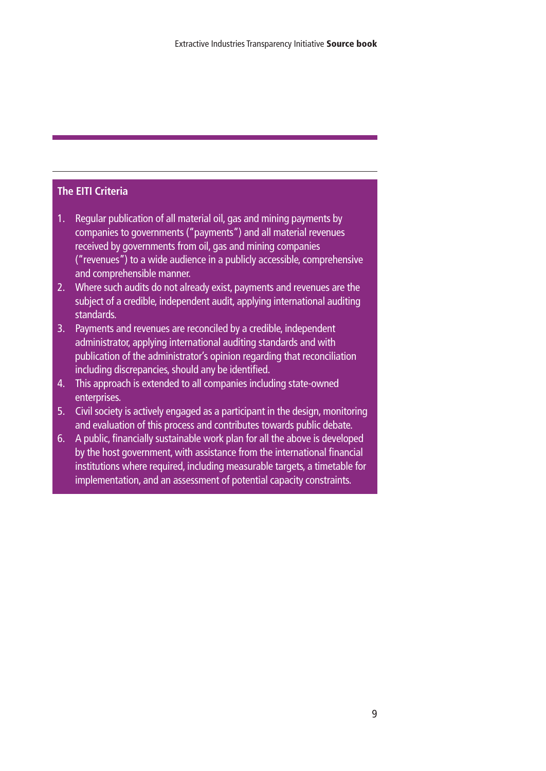#### **The EITI Criteria**

- 1. Regular publication of all material oil, gas and mining payments by companies to governments ("payments") and all material revenues received by governments from oil, gas and mining companies ("revenues") to a wide audience in a publicly accessible, comprehensive and comprehensible manner.
- 2. Where such audits do not already exist, payments and revenues are the subject of a credible, independent audit, applying international auditing standards.
- 3. Payments and revenues are reconciled by a credible, independent administrator, applying international auditing standards and with publication of the administrator's opinion regarding that reconciliation including discrepancies, should any be identified.
- 4. This approach is extended to all companies including state-owned enterprises.
- 5. Civil society is actively engaged as a participant in the design, monitoring and evaluation of this process and contributes towards public debate.
- 6. A public, financially sustainable work plan for all the above is developed by the host government, with assistance from the international financial institutions where required, including measurable targets, a timetable for implementation, and an assessment of potential capacity constraints.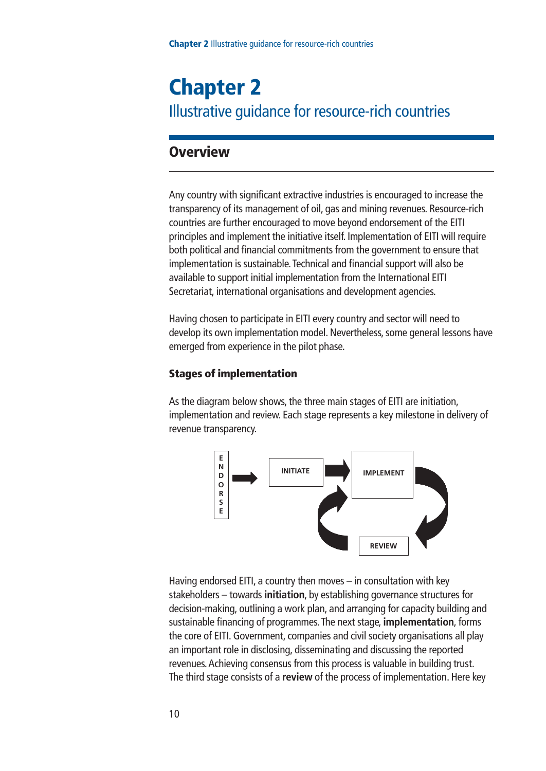## **Chapter 2** Illustrative guidance for resource-rich countries

#### **Overview**

Any country with significant extractive industries is encouraged to increase the transparency of its management of oil, gas and mining revenues. Resource-rich countries are further encouraged to move beyond endorsement of the EITI principles and implement the initiative itself. Implementation of EITI will require both political and financial commitments from the government to ensure that implementation is sustainable.Technical and financial support will also be available to support initial implementation from the International EITI Secretariat, international organisations and development agencies.

Having chosen to participate in EITI every country and sector will need to develop its own implementation model. Nevertheless, some general lessons have emerged from experience in the pilot phase.

#### **Stages of implementation**

As the diagram below shows, the three main stages of EITI are initiation, implementation and review. Each stage represents a key milestone in delivery of revenue transparency.



Having endorsed EITI, a country then moves – in consultation with key stakeholders – towards **initiation**, by establishing governance structures for decision-making, outlining a work plan, and arranging for capacity building and sustainable financing of programmes.The next stage, **implementation**, forms the core of EITI. Government, companies and civil society organisations all play an important role in disclosing, disseminating and discussing the reported revenues.Achieving consensus from this process is valuable in building trust. The third stage consists of a **review** of the process of implementation. Here key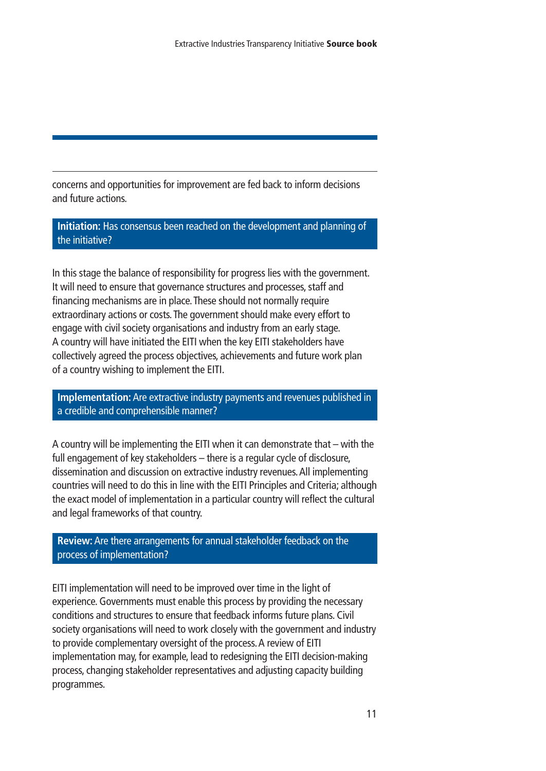concerns and opportunities for improvement are fed back to inform decisions and future actions.

**Initiation:** Has consensus been reached on the development and planning of the initiative?

In this stage the balance of responsibility for progress lies with the government. It will need to ensure that governance structures and processes, staff and financing mechanisms are in place.These should not normally require extraordinary actions or costs.The government should make every effort to engage with civil society organisations and industry from an early stage. A country will have initiated the EITI when the key EITI stakeholders have collectively agreed the process objectives, achievements and future work plan of a country wishing to implement the EITI.

**Implementation:** Are extractive industry payments and revenues published in a credible and comprehensible manner?

A country will be implementing the EITI when it can demonstrate that – with the full engagement of key stakeholders – there is a regular cycle of disclosure, dissemination and discussion on extractive industry revenues.All implementing countries will need to do this in line with the EITI Principles and Criteria; although the exact model of implementation in a particular country will reflect the cultural and legal frameworks of that country.

**Review:**Are there arrangements for annual stakeholder feedback on the process of implementation?

EITI implementation will need to be improved over time in the light of experience. Governments must enable this process by providing the necessary conditions and structures to ensure that feedback informs future plans. Civil society organisations will need to work closely with the government and industry to provide complementary oversight of the process.A review of EITI implementation may, for example, lead to redesigning the EITI decision-making process, changing stakeholder representatives and adjusting capacity building programmes.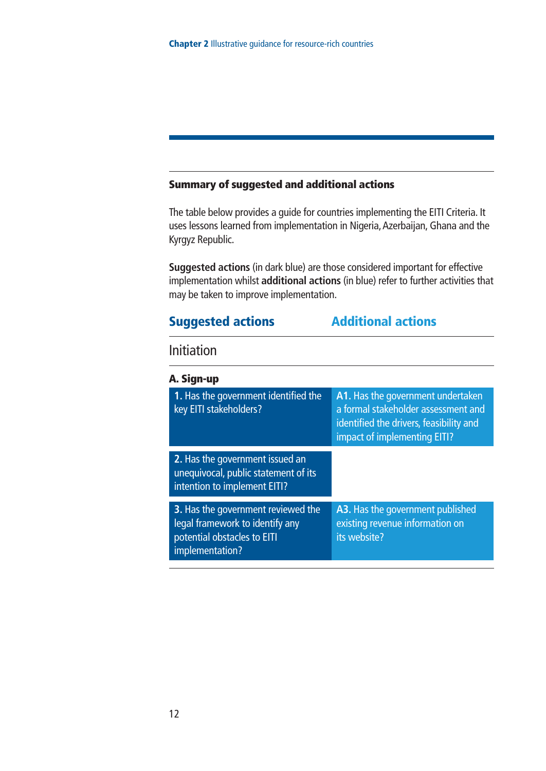#### **Summary of suggested and additional actions**

The table below provides a guide for countries implementing the EITI Criteria. It uses lessons learned from implementation in Nigeria, Azerbaijan, Ghana and the Kyrgyz Republic.

**Suggested actions** (in dark blue) are those considered important for effective implementation whilst **additional actions** (in blue) refer to further activities that may be taken to improve implementation.

#### **Suggested actions Additional actions**

#### Initiation

| A. Sign-up                                                                                                              |                                                                                                                                                     |
|-------------------------------------------------------------------------------------------------------------------------|-----------------------------------------------------------------------------------------------------------------------------------------------------|
| 1. Has the government identified the<br>key EITI stakeholders?                                                          | A1. Has the government undertaken<br>a formal stakeholder assessment and<br>identified the drivers, feasibility and<br>impact of implementing EITI? |
| 2. Has the government issued an<br>unequivocal, public statement of its<br>intention to implement EITI?                 |                                                                                                                                                     |
| 3. Has the government reviewed the<br>legal framework to identify any<br>potential obstacles to EITI<br>implementation? | A3. Has the government published<br>existing revenue information on<br>its website?                                                                 |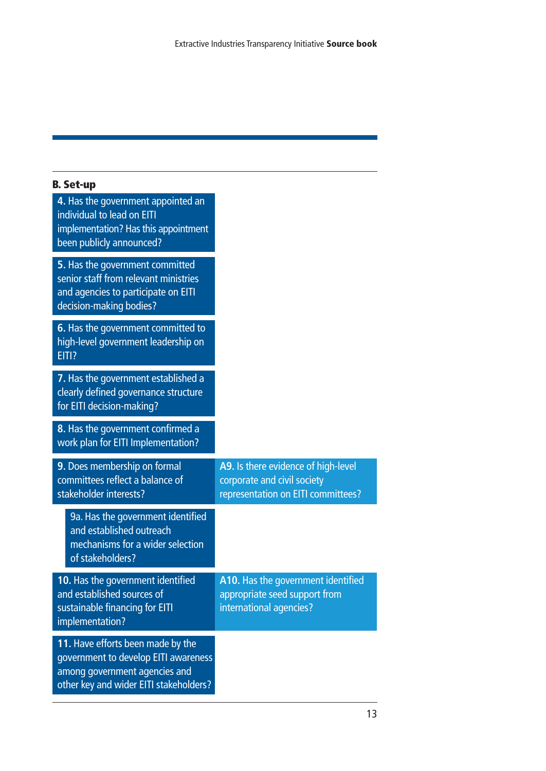| <b>B.</b> Set-up                                                                                                                                     |                                                                                                          |
|------------------------------------------------------------------------------------------------------------------------------------------------------|----------------------------------------------------------------------------------------------------------|
| 4. Has the government appointed an<br>individual to lead on EITI<br>implementation? Has this appointment<br>been publicly announced?                 |                                                                                                          |
| 5. Has the government committed<br>senior staff from relevant ministries<br>and agencies to participate on EITI<br>decision-making bodies?           |                                                                                                          |
| 6. Has the government committed to<br>high-level government leadership on<br>EITI?                                                                   |                                                                                                          |
| 7. Has the government established a<br>clearly defined governance structure<br>for EITI decision-making?                                             |                                                                                                          |
| 8. Has the government confirmed a<br>work plan for EITI Implementation?                                                                              |                                                                                                          |
| 9. Does membership on formal<br>committees reflect a balance of<br>stakeholder interests?                                                            | A9. Is there evidence of high-level<br>corporate and civil society<br>representation on EITI committees? |
| 9a. Has the government identified<br>and established outreach<br>mechanisms for a wider selection<br>of stakeholders?                                |                                                                                                          |
| 10. Has the government identified<br>and established sources of<br>sustainable financing for EITI<br>implementation?                                 | A10. Has the government identified<br>appropriate seed support from<br>international agencies?           |
| 11. Have efforts been made by the<br>government to develop EITI awareness<br>among government agencies and<br>other key and wider EITI stakeholders? |                                                                                                          |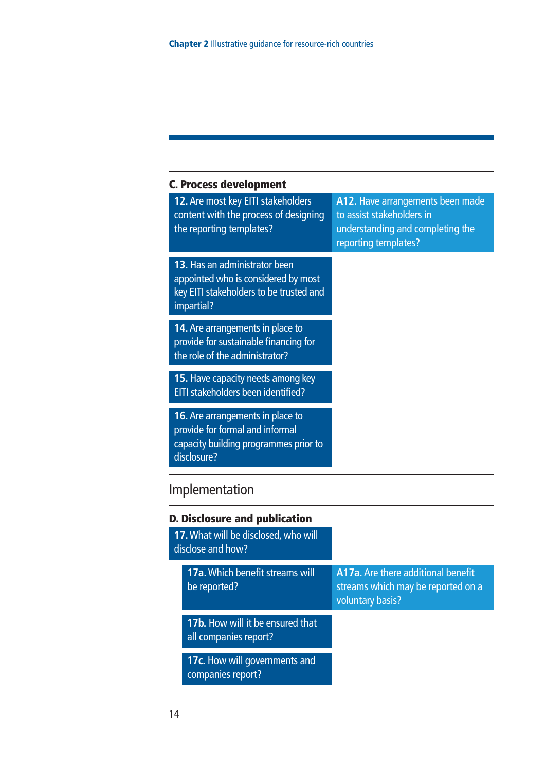| <b>C. Process development</b>                                                                                                 |                                                                                                                           |
|-------------------------------------------------------------------------------------------------------------------------------|---------------------------------------------------------------------------------------------------------------------------|
| 12. Are most key EITI stakeholders<br>content with the process of designing<br>the reporting templates?                       | A12. Have arrangements been made<br>to assist stakeholders in<br>understanding and completing the<br>reporting templates? |
| 13. Has an administrator been<br>appointed who is considered by most<br>key EITI stakeholders to be trusted and<br>impartial? |                                                                                                                           |
| 14. Are arrangements in place to<br>provide for sustainable financing for<br>the role of the administrator?                   |                                                                                                                           |
| 15. Have capacity needs among key<br>EITI stakeholders been identified?                                                       |                                                                                                                           |
| 16. Are arrangements in place to<br>provide for formal and informal<br>capacity building programmes prior to<br>disclosure?   |                                                                                                                           |
| Implementation                                                                                                                |                                                                                                                           |
| <b>D. Disclosure and publication</b>                                                                                          |                                                                                                                           |
| 17. What will be disclosed, who will<br>disclose and how?                                                                     |                                                                                                                           |
| 17a. Which benefit streams will<br>be reported?                                                                               | A17a. Are there additional benefit<br>streams which may be reported on a<br>voluntary basis?                              |
| 17b. How will it be ensured that<br>all companies report?                                                                     |                                                                                                                           |
| 17c. How will governments and<br>companies report?                                                                            |                                                                                                                           |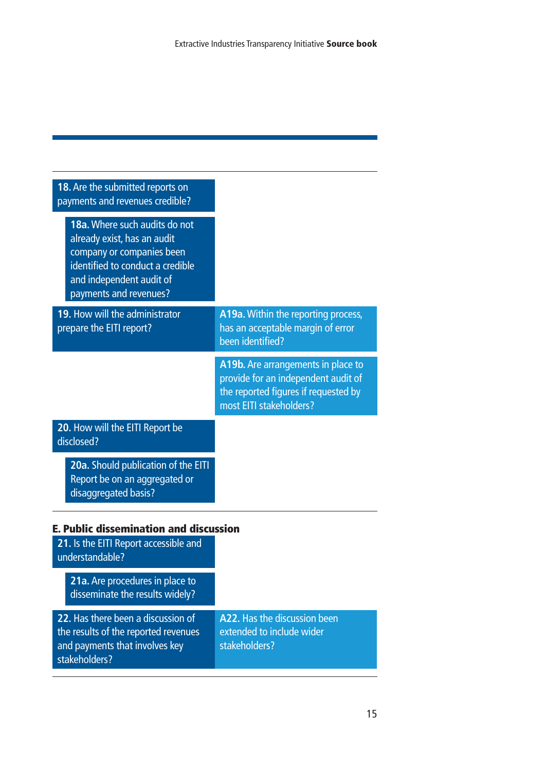| 18. Are the submitted reports on<br>payments and revenues credible?                                                                                                                 |                                                                                                                                              |
|-------------------------------------------------------------------------------------------------------------------------------------------------------------------------------------|----------------------------------------------------------------------------------------------------------------------------------------------|
| 18a. Where such audits do not<br>already exist, has an audit<br>company or companies been<br>identified to conduct a credible<br>and independent audit of<br>payments and revenues? |                                                                                                                                              |
| 19. How will the administrator<br>prepare the EITI report?                                                                                                                          | A19a. Within the reporting process,<br>has an acceptable margin of error<br>been identified?                                                 |
|                                                                                                                                                                                     | A19b. Are arrangements in place to<br>provide for an independent audit of<br>the reported figures if requested by<br>most EITI stakeholders? |
| 20. How will the EITI Report be<br>disclosed?                                                                                                                                       |                                                                                                                                              |
| 20a. Should publication of the EITI<br>Report be on an aggregated or<br>disaggregated basis?                                                                                        |                                                                                                                                              |

#### **E. Public dissemination and discussion**

| 21. Is the EITI Report accessible and<br>understandable?                                                                      |                                                                            |
|-------------------------------------------------------------------------------------------------------------------------------|----------------------------------------------------------------------------|
| 21a. Are procedures in place to<br>disseminate the results widely?                                                            |                                                                            |
| 22. Has there been a discussion of<br>the results of the reported revenues<br>and payments that involves key<br>stakeholders? | A22. Has the discussion been<br>extended to include wider<br>stakeholders? |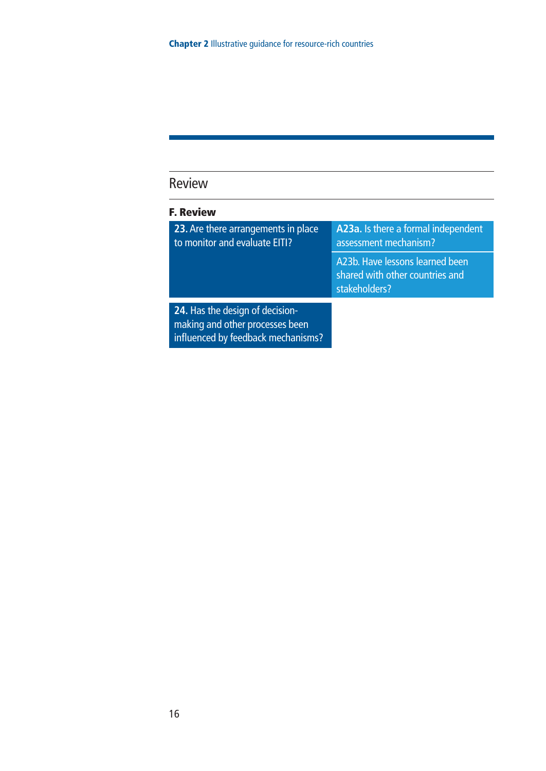### Review

| <b>F. Review</b>                                                                                         |                                                                                     |
|----------------------------------------------------------------------------------------------------------|-------------------------------------------------------------------------------------|
| 23. Are there arrangements in place<br>to monitor and evaluate EITI?                                     | A23a. Is there a formal independent<br>assessment mechanism?                        |
|                                                                                                          | A23b. Have lessons learned been<br>shared with other countries and<br>stakeholders? |
| 24. Has the design of decision-<br>making and other processes been<br>influenced by feedback mechanisms? |                                                                                     |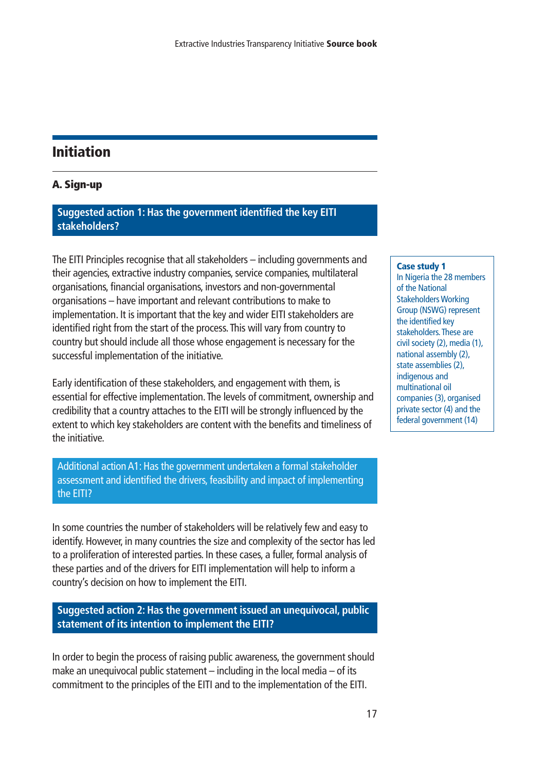#### **Initiation**

#### **A. Sign-up**

#### **Suggested action 1: Has the government identified the key EITI stakeholders?**

The EITI Principles recognise that all stakeholders – including governments and their agencies, extractive industry companies, service companies, multilateral organisations, financial organisations, investors and non-governmental organisations – have important and relevant contributions to make to implementation. It is important that the key and wider EITI stakeholders are identified right from the start of the process.This will vary from country to country but should include all those whose engagement is necessary for the successful implementation of the initiative.

Early identification of these stakeholders, and engagement with them, is essential for effective implementation.The levels of commitment, ownership and credibility that a country attaches to the EITI will be strongly influenced by the extent to which key stakeholders are content with the benefits and timeliness of the initiative.

Additional action A1: Has the government undertaken a formal stakeholder assessment and identified the drivers, feasibility and impact of implementing the EITI?

In some countries the number of stakeholders will be relatively few and easy to identify. However, in many countries the size and complexity of the sector has led to a proliferation of interested parties. In these cases, a fuller, formal analysis of these parties and of the drivers for EITI implementation will help to inform a country's decision on how to implement the EITI.

#### **Suggested action 2: Has the government issued an unequivocal, public statement of its intention to implement the EITI?**

In order to begin the process of raising public awareness, the government should make an unequivocal public statement – including in the local media – of its commitment to the principles of the EITI and to the implementation of the EITI.

#### **Case study 1**

In Nigeria the 28 members of the National Stakeholders Working Group (NSWG) represent the identified key stakeholders.These are civil society (2), media (1), national assembly (2), state assemblies (2), indigenous and multinational oil companies (3), organised private sector (4) and the federal government (14)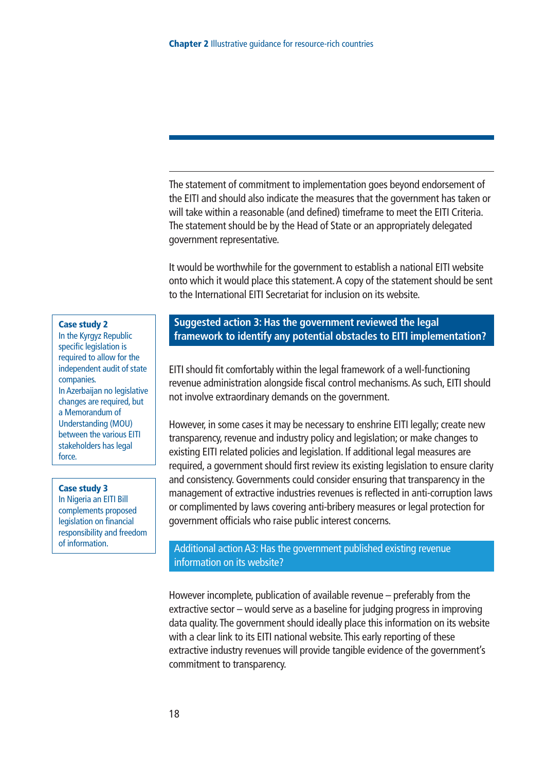The statement of commitment to implementation goes beyond endorsement of the EITI and should also indicate the measures that the government has taken or will take within a reasonable (and defined) timeframe to meet the EITI Criteria. The statement should be by the Head of State or an appropriately delegated government representative.

It would be worthwhile for the government to establish a national EITI website onto which it would place this statement.A copy of the statement should be sent to the International EITI Secretariat for inclusion on its website.

#### **Case study 2**

In the Kyrgyz Republic specific legislation is required to allow for the independent audit of state companies. In Azerbaijan no legislative changes are required, but a Memorandum of Understanding (MOU) between the various EITI stakeholders has legal force.

#### **Case study 3**

In Nigeria an EITI Bill complements proposed legislation on financial responsibility and freedom of information.

#### **Suggested action 3: Has the government reviewed the legal framework to identify any potential obstacles to EITI implementation?**

EITI should fit comfortably within the legal framework of a well-functioning revenue administration alongside fiscal control mechanisms.As such, EITI should not involve extraordinary demands on the government.

However, in some cases it may be necessary to enshrine EITI legally; create new transparency, revenue and industry policy and legislation; or make changes to existing EITI related policies and legislation. If additional legal measures are required, a government should first review its existing legislation to ensure clarity and consistency. Governments could consider ensuring that transparency in the management of extractive industries revenues is reflected in anti-corruption laws or complimented by laws covering anti-bribery measures or legal protection for government officials who raise public interest concerns.

#### Additional action A3: Has the government published existing revenue information on its website?

However incomplete, publication of available revenue – preferably from the extractive sector – would serve as a baseline for judging progress in improving data quality.The government should ideally place this information on its website with a clear link to its EITI national website. This early reporting of these extractive industry revenues will provide tangible evidence of the government's commitment to transparency.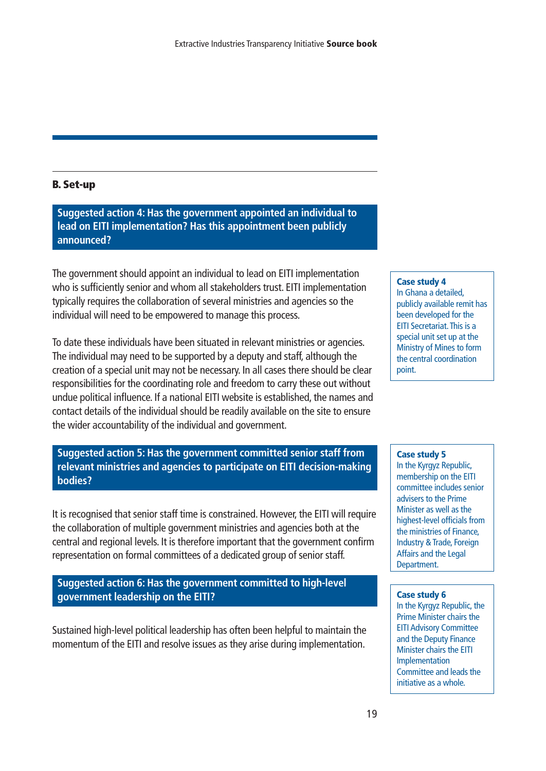#### **B. Set-up**

**Suggested action 4: Has the government appointed an individual to lead on EITI implementation? Has this appointment been publicly announced?**

The government should appoint an individual to lead on EITI implementation who is sufficiently senior and whom all stakeholders trust. EITI implementation typically requires the collaboration of several ministries and agencies so the individual will need to be empowered to manage this process.

To date these individuals have been situated in relevant ministries or agencies. The individual may need to be supported by a deputy and staff, although the creation of a special unit may not be necessary. In all cases there should be clear responsibilities for the coordinating role and freedom to carry these out without undue political influence. If a national EITI website is established, the names and contact details of the individual should be readily available on the site to ensure the wider accountability of the individual and government.

**Suggested action 5: Has the government committed senior staff from relevant ministries and agencies to participate on EITI decision-making bodies?**

It is recognised that senior staff time is constrained. However, the EITI will require the collaboration of multiple government ministries and agencies both at the central and regional levels. It is therefore important that the government confirm representation on formal committees of a dedicated group of senior staff.

**Suggested action 6: Has the government committed to high-level government leadership on the EITI?**

Sustained high-level political leadership has often been helpful to maintain the momentum of the EITI and resolve issues as they arise during implementation.

#### **Case study 4**

In Ghana a detailed, publicly available remit has been developed for the EITI Secretariat.This is a special unit set up at the Ministry of Mines to form the central coordination point.

#### **Case study 5**

In the Kyrgyz Republic, membership on the EITI committee includes senior advisers to the Prime Minister as well as the highest-level officials from the ministries of Finance, Industry & Trade, Foreign Affairs and the Legal Department.

#### **Case study 6**

In the Kyrgyz Republic, the Prime Minister chairs the EITI Advisory Committee and the Deputy Finance Minister chairs the EITI Implementation Committee and leads the initiative as a whole.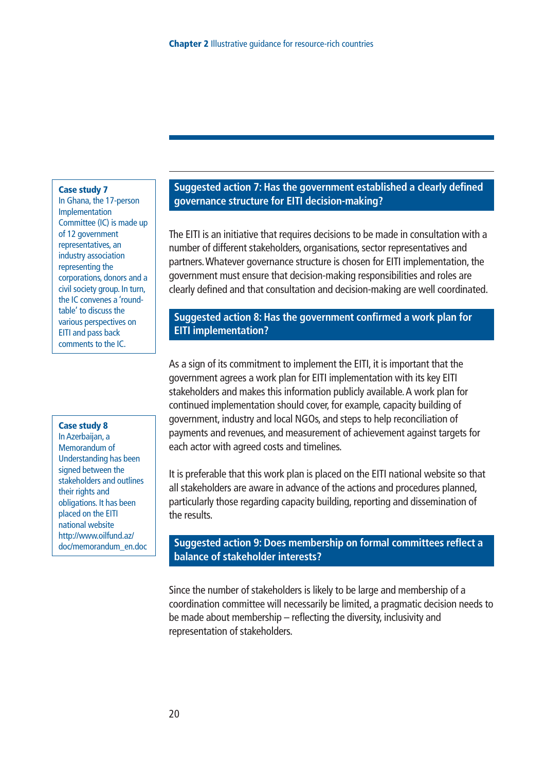#### **Case study 7**

In Ghana, the 17-person Implementation Committee (IC) is made up of 12 government representatives, an industry association representing the corporations, donors and a civil society group. In turn, the IC convenes a 'roundtable' to discuss the various perspectives on EITI and pass back comments to the IC.

#### **Case study 8**

In Azerbaijan, a Memorandum of Understanding has been signed between the stakeholders and outlines their rights and obligations. It has been placed on the EITI national website http://www.oilfund.az/ doc/memorandum\_en.doc

#### **Suggested action 7: Has the government established a clearly defined governance structure for EITI decision-making?**

The EITI is an initiative that requires decisions to be made in consultation with a number of different stakeholders, organisations, sector representatives and partners.Whatever governance structure is chosen for EITI implementation, the government must ensure that decision-making responsibilities and roles are clearly defined and that consultation and decision-making are well coordinated.

#### **Suggested action 8: Has the government confirmed a work plan for EITI implementation?**

As a sign of its commitment to implement the EITI, it is important that the government agrees a work plan for EITI implementation with its key EITI stakeholders and makes this information publicly available.A work plan for continued implementation should cover, for example, capacity building of government, industry and local NGOs, and steps to help reconciliation of payments and revenues, and measurement of achievement against targets for each actor with agreed costs and timelines.

It is preferable that this work plan is placed on the EITI national website so that all stakeholders are aware in advance of the actions and procedures planned, particularly those regarding capacity building, reporting and dissemination of the results.

#### **Suggested action 9: Does membership on formal committees reflect a balance of stakeholder interests?**

Since the number of stakeholders is likely to be large and membership of a coordination committee will necessarily be limited, a pragmatic decision needs to be made about membership – reflecting the diversity, inclusivity and representation of stakeholders.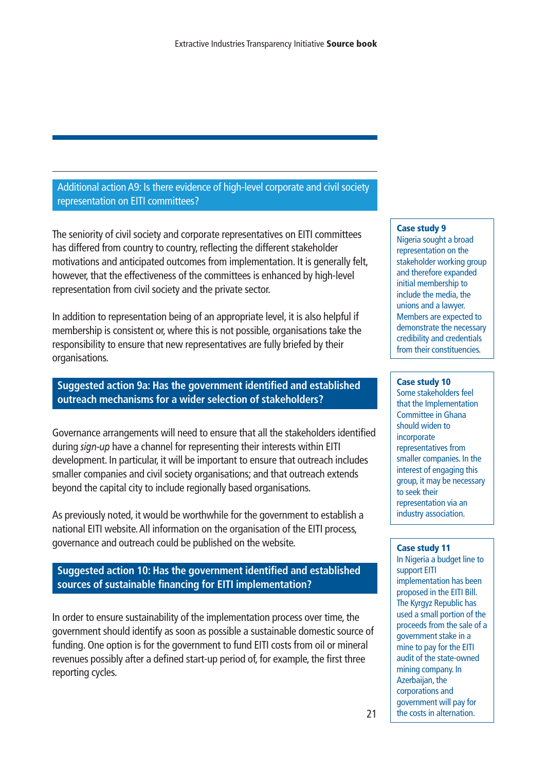Additional action A9: Is there evidence of high-level corporate and civil society representation on EITI committees?

The seniority of civil society and corporate representatives on EITI committees has differed from country to country, reflecting the different stakeholder motivations and anticipated outcomes from implementation. It is generally felt, however, that the effectiveness of the committees is enhanced by high-level representation from civil society and the private sector.

In addition to representation being of an appropriate level, it is also helpful if membership is consistent or, where this is not possible, organisations take the responsibility to ensure that new representatives are fully briefed by their organisations.

#### **Suggested action 9a: Has the government identified and established outreach mechanisms for a wider selection of stakeholders?**

Governance arrangements will need to ensure that all the stakeholders identified during *sign-up* have a channel for representing their interests within EITI development. In particular, it will be important to ensure that outreach includes smaller companies and civil society organisations; and that outreach extends beyond the capital city to include regionally based organisations.

As previously noted, it would be worthwhile for the government to establish a national EITI website.All information on the organisation of the EITI process, governance and outreach could be published on the website.

**Suggested action 10: Has the government identified and established sources of sustainable financing for EITI implementation?** 

In order to ensure sustainability of the implementation process over time, the government should identify as soon as possible a sustainable domestic source of funding. One option is for the government to fund EITI costs from oil or mineral revenues possibly after a defined start-up period of, for example, the first three reporting cycles.

#### **Case study 9**

Nigeria sought a broad representation on the stakeholder working group and therefore expanded initial membership to include the media, the unions and a lawyer. Members are expected to demonstrate the necessary credibility and credentials from their constituencies.

#### **Case study 10**

Some stakeholders feel that the Implementation Committee in Ghana should widen to incorporate representatives from smaller companies. In the interest of engaging this group, it may be necessary to seek their representation via an industry association.

#### **Case study 11**

In Nigeria a budget line to support EITI implementation has been proposed in the EITI Bill. The Kyrgyz Republic has used a small portion of the proceeds from the sale of a government stake in a mine to pay for the EITI audit of the state-owned mining company. In Azerbaijan, the corporations and government will pay for the costs in alternation.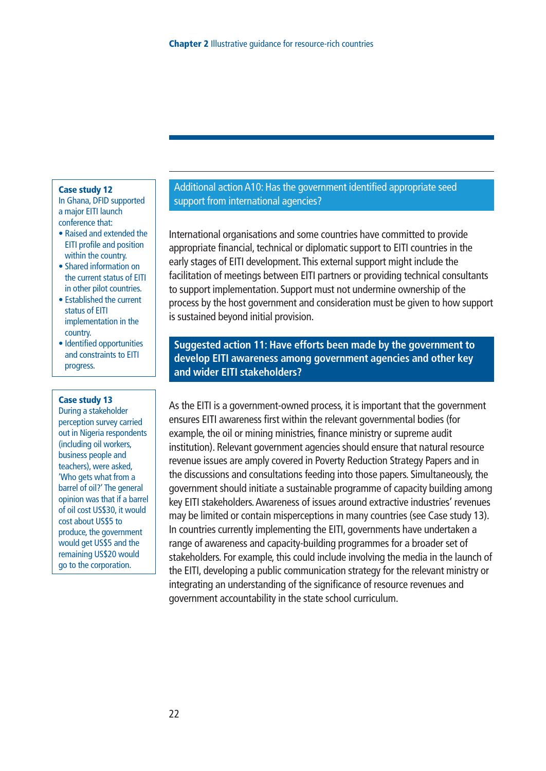#### **Case study 12**

In Ghana, DFID supported a major EITI launch conference that:

- Raised and extended the EITI profile and position within the country.
- Shared information on the current status of EITI in other pilot countries.
- Established the current status of EITI implementation in the country.
- Identified opportunities and constraints to EITI progress.

#### **Case study 13**

During a stakeholder perception survey carried out in Nigeria respondents (including oil workers, business people and teachers), were asked, 'Who gets what from a barrel of oil?' The general opinion was that if a barrel of oil cost US\$30, it would cost about US\$5 to produce, the government would get US\$5 and the remaining US\$20 would go to the corporation.

#### Additional action A10: Has the government identified appropriate seed support from international agencies?

International organisations and some countries have committed to provide appropriate financial, technical or diplomatic support to EITI countries in the early stages of EITI development.This external support might include the facilitation of meetings between EITI partners or providing technical consultants to support implementation. Support must not undermine ownership of the process by the host government and consideration must be given to how support is sustained beyond initial provision.

**Suggested action 11: Have efforts been made by the government to develop EITI awareness among government agencies and other key and wider EITI stakeholders?**

As the EITI is a government-owned process, it is important that the government ensures EITI awareness first within the relevant governmental bodies (for example, the oil or mining ministries, finance ministry or supreme audit institution). Relevant government agencies should ensure that natural resource revenue issues are amply covered in Poverty Reduction Strategy Papers and in the discussions and consultations feeding into those papers. Simultaneously, the government should initiate a sustainable programme of capacity building among key EITI stakeholders.Awareness of issues around extractive industries' revenues may be limited or contain misperceptions in many countries (see Case study 13). In countries currently implementing the EITI, governments have undertaken a range of awareness and capacity-building programmes for a broader set of stakeholders. For example, this could include involving the media in the launch of the EITI, developing a public communication strategy for the relevant ministry or integrating an understanding of the significance of resource revenues and government accountability in the state school curriculum.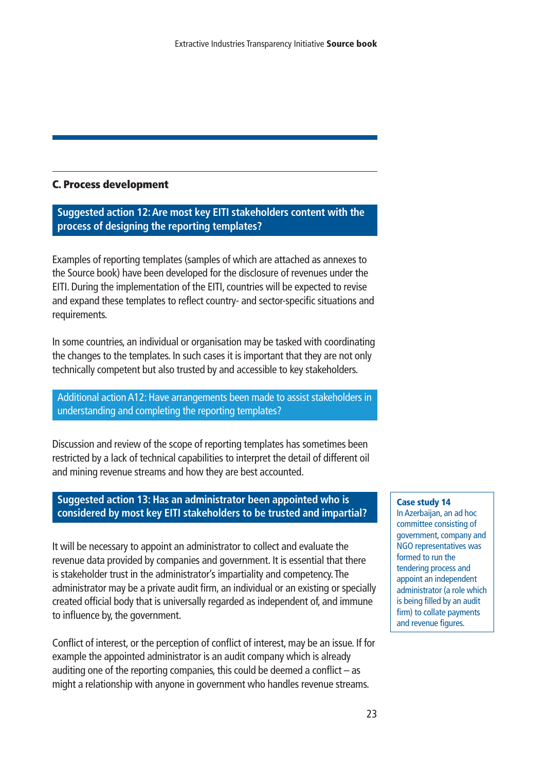#### **C. Process development**

**Suggested action 12:Are most key EITI stakeholders content with the process of designing the reporting templates?**

Examples of reporting templates (samples of which are attached as annexes to the Source book) have been developed for the disclosure of revenues under the EITI. During the implementation of the EITI, countries will be expected to revise and expand these templates to reflect country- and sector-specific situations and requirements.

In some countries, an individual or organisation may be tasked with coordinating the changes to the templates. In such cases it is important that they are not only technically competent but also trusted by and accessible to key stakeholders.

Additional action A12: Have arrangements been made to assist stakeholders in understanding and completing the reporting templates?

Discussion and review of the scope of reporting templates has sometimes been restricted by a lack of technical capabilities to interpret the detail of different oil and mining revenue streams and how they are best accounted.

#### **Suggested action 13: Has an administrator been appointed who is considered by most key EITI stakeholders to be trusted and impartial?**

It will be necessary to appoint an administrator to collect and evaluate the revenue data provided by companies and government. It is essential that there is stakeholder trust in the administrator's impartiality and competency.The administrator may be a private audit firm, an individual or an existing or specially created official body that is universally regarded as independent of, and immune to influence by, the government.

Conflict of interest, or the perception of conflict of interest, may be an issue. If for example the appointed administrator is an audit company which is already auditing one of the reporting companies, this could be deemed a conflict – as might a relationship with anyone in government who handles revenue streams.

#### **Case study 14**

In Azerbaijan, an ad hoc committee consisting of government, company and NGO representatives was formed to run the tendering process and appoint an independent administrator (a role which is being filled by an audit firm) to collate payments and revenue figures.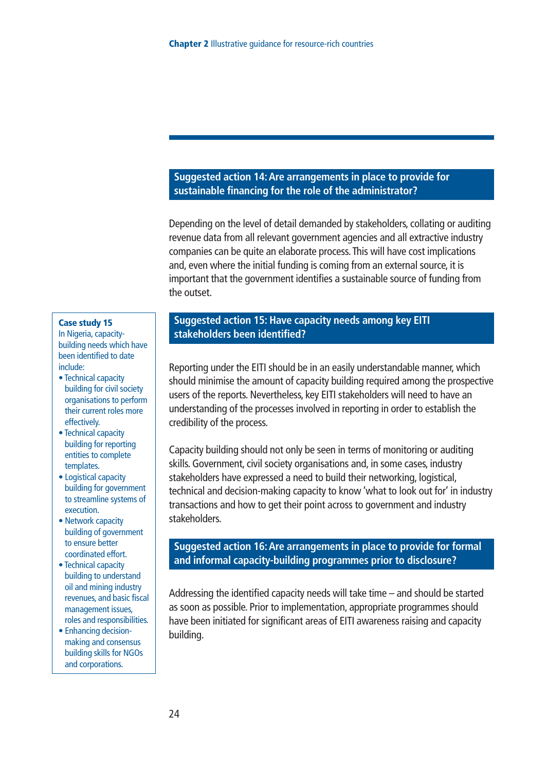#### **Suggested action 14:Are arrangements in place to provide for sustainable financing for the role of the administrator?**

Depending on the level of detail demanded by stakeholders, collating or auditing revenue data from all relevant government agencies and all extractive industry companies can be quite an elaborate process.This will have cost implications and, even where the initial funding is coming from an external source, it is important that the government identifies a sustainable source of funding from the outset.

#### **Case study 15**

In Nigeria, capacitybuilding needs which have been identified to date include:

- Technical capacity building for civil society organisations to perform their current roles more effectively.
- Technical capacity building for reporting entities to complete templates.
- Logistical capacity building for government to streamline systems of execution.
- Network capacity building of government to ensure better coordinated effort.
- Technical capacity building to understand oil and mining industry revenues, and basic fiscal management issues, roles and responsibilities.
- Enhancing decisionmaking and consensus building skills for NGOs and corporations.

#### **Suggested action 15: Have capacity needs among key EITI stakeholders been identified?**

Reporting under the EITI should be in an easily understandable manner, which should minimise the amount of capacity building required among the prospective users of the reports. Nevertheless, key EITI stakeholders will need to have an understanding of the processes involved in reporting in order to establish the credibility of the process.

Capacity building should not only be seen in terms of monitoring or auditing skills. Government, civil society organisations and, in some cases, industry stakeholders have expressed a need to build their networking, logistical, technical and decision-making capacity to know 'what to look out for' in industry transactions and how to get their point across to government and industry stakeholders.

#### **Suggested action 16:Are arrangements in place to provide for formal and informal capacity-building programmes prior to disclosure?**

Addressing the identified capacity needs will take time – and should be started as soon as possible. Prior to implementation, appropriate programmes should have been initiated for significant areas of EITI awareness raising and capacity building.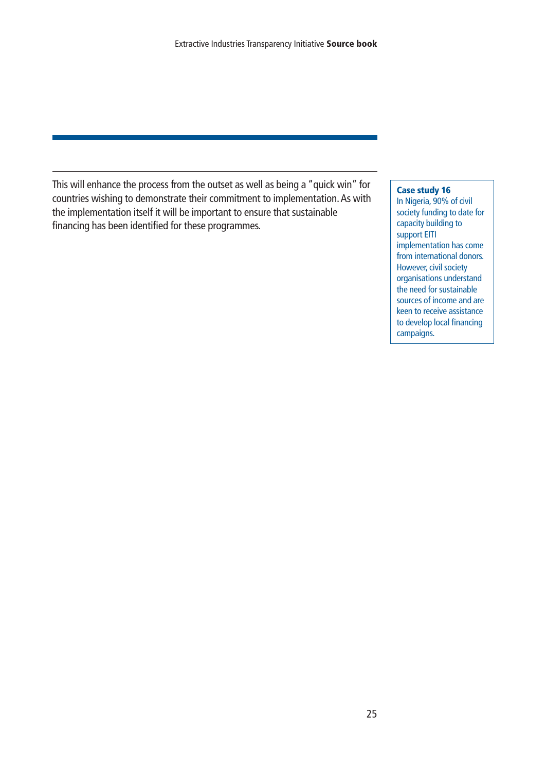This will enhance the process from the outset as well as being a "quick win" for countries wishing to demonstrate their commitment to implementation.As with the implementation itself it will be important to ensure that sustainable financing has been identified for these programmes.

#### **Case study 16**

In Nigeria, 90% of civil society funding to date for capacity building to support EITI implementation has come from international donors. However, civil society organisations understand the need for sustainable sources of income and are keen to receive assistance to develop local financing campaigns.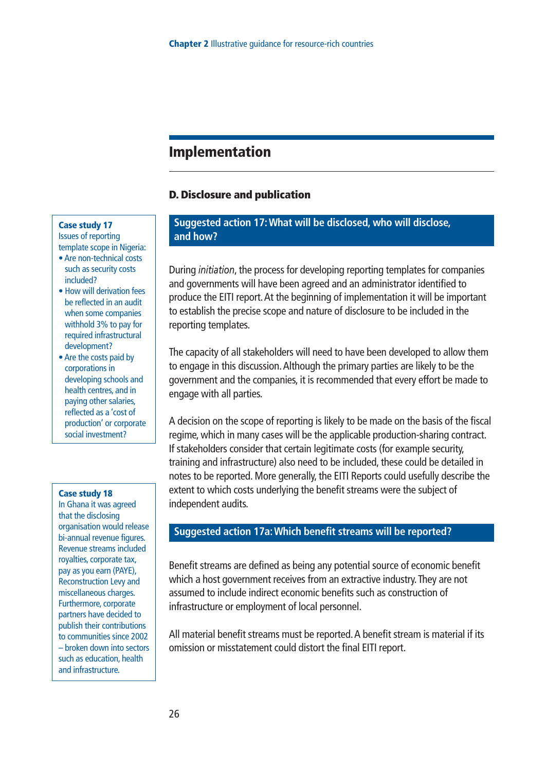#### **Implementation**

#### **D. Disclosure and publication**

#### **Case study 17**

Issues of reporting template scope in Nigeria:

- Are non-technical costs such as security costs included?
- How will derivation fees be reflected in an audit when some companies withhold 3% to pay for required infrastructural development?
- Are the costs paid by corporations in developing schools and health centres, and in paying other salaries, reflected as a 'cost of production' or corporate social investment?

#### **Case study 18**

In Ghana it was agreed that the disclosing organisation would release bi-annual revenue figures. Revenue streams included royalties, corporate tax, pay as you earn (PAYE), Reconstruction Levy and miscellaneous charges. Furthermore, corporate partners have decided to publish their contributions to communities since 2002 – broken down into sectors such as education, health and infrastructure.

#### **Suggested action 17:What will be disclosed, who will disclose, and how?**

During *initiation*, the process for developing reporting templates for companies and governments will have been agreed and an administrator identified to produce the EITI report.At the beginning of implementation it will be important to establish the precise scope and nature of disclosure to be included in the reporting templates.

The capacity of all stakeholders will need to have been developed to allow them to engage in this discussion.Although the primary parties are likely to be the government and the companies, it is recommended that every effort be made to engage with all parties.

A decision on the scope of reporting is likely to be made on the basis of the fiscal regime, which in many cases will be the applicable production-sharing contract. If stakeholders consider that certain legitimate costs (for example security, training and infrastructure) also need to be included, these could be detailed in notes to be reported. More generally, the EITI Reports could usefully describe the extent to which costs underlying the benefit streams were the subject of independent audits.

#### **Suggested action 17a:Which benefit streams will be reported?**

Benefit streams are defined as being any potential source of economic benefit which a host government receives from an extractive industry.They are not assumed to include indirect economic benefits such as construction of infrastructure or employment of local personnel.

All material benefit streams must be reported.A benefit stream is material if its omission or misstatement could distort the final EITI report.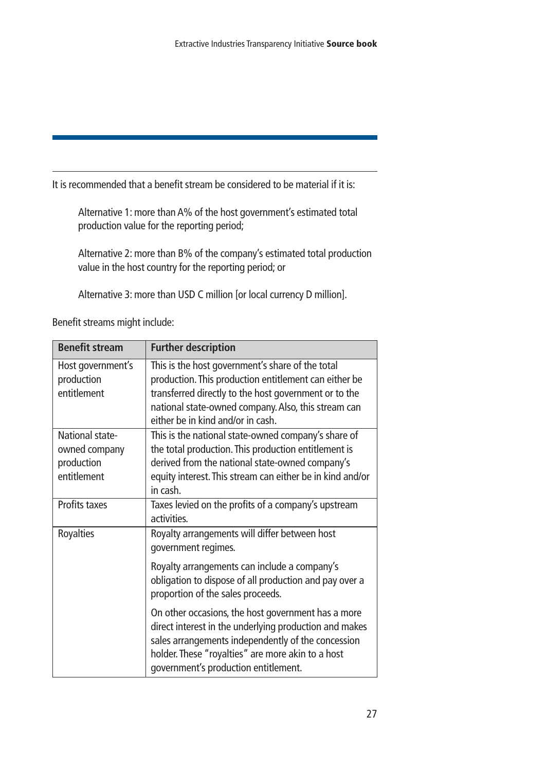It is recommended that a benefit stream be considered to be material if it is:

Alternative 1: more than A% of the host government's estimated total production value for the reporting period;

Alternative 2: more than B% of the company's estimated total production value in the host country for the reporting period; or

Alternative 3: more than USD C million [or local currency D million].

| Benefit streams might include: |  |
|--------------------------------|--|
|--------------------------------|--|

| <b>Benefit stream</b>                                         | <b>Further description</b>                                                                                                                                                                                                                                      |
|---------------------------------------------------------------|-----------------------------------------------------------------------------------------------------------------------------------------------------------------------------------------------------------------------------------------------------------------|
| Host government's<br>production<br>entitlement                | This is the host government's share of the total<br>production. This production entitlement can either be<br>transferred directly to the host government or to the<br>national state-owned company. Also, this stream can<br>either be in kind and/or in cash.  |
| National state-<br>owned company<br>production<br>entitlement | This is the national state-owned company's share of<br>the total production. This production entitlement is<br>derived from the national state-owned company's<br>equity interest. This stream can either be in kind and/or<br>in cash.                         |
| Profits taxes                                                 | Taxes levied on the profits of a company's upstream<br>activities.                                                                                                                                                                                              |
| Royalties                                                     | Royalty arrangements will differ between host<br>government regimes.                                                                                                                                                                                            |
|                                                               | Royalty arrangements can include a company's<br>obligation to dispose of all production and pay over a<br>proportion of the sales proceeds.                                                                                                                     |
|                                                               | On other occasions, the host government has a more<br>direct interest in the underlying production and makes<br>sales arrangements independently of the concession<br>holder. These "royalties" are more akin to a host<br>government's production entitlement. |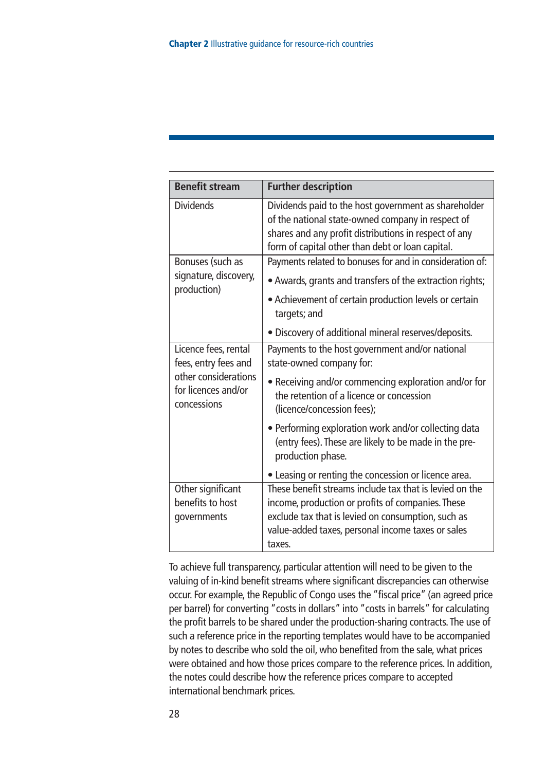| <b>Benefit stream</b>                                      | <b>Further description</b>                                                                                                                                                                                             |
|------------------------------------------------------------|------------------------------------------------------------------------------------------------------------------------------------------------------------------------------------------------------------------------|
| <b>Dividends</b>                                           | Dividends paid to the host government as shareholder<br>of the national state-owned company in respect of<br>shares and any profit distributions in respect of any<br>form of capital other than debt or loan capital. |
| Bonuses (such as                                           | Payments related to bonuses for and in consideration of:                                                                                                                                                               |
| signature, discovery,<br>production)                       | • Awards, grants and transfers of the extraction rights;                                                                                                                                                               |
|                                                            | • Achievement of certain production levels or certain<br>targets; and                                                                                                                                                  |
|                                                            | · Discovery of additional mineral reserves/deposits.                                                                                                                                                                   |
| Licence fees, rental<br>fees, entry fees and               | Payments to the host government and/or national<br>state-owned company for:                                                                                                                                            |
| other considerations<br>for licences and/or<br>concessions | • Receiving and/or commencing exploration and/or for<br>the retention of a licence or concession<br>(licence/concession fees);                                                                                         |
|                                                            | • Performing exploration work and/or collecting data<br>(entry fees). These are likely to be made in the pre-<br>production phase.                                                                                     |
|                                                            | • Leasing or renting the concession or licence area.                                                                                                                                                                   |
| Other significant                                          | These benefit streams include tax that is levied on the                                                                                                                                                                |
| benefits to host<br>governments                            | income, production or profits of companies. These<br>exclude tax that is levied on consumption, such as                                                                                                                |
|                                                            | value-added taxes, personal income taxes or sales<br>taxes.                                                                                                                                                            |

To achieve full transparency, particular attention will need to be given to the valuing of in-kind benefit streams where significant discrepancies can otherwise occur. For example, the Republic of Congo uses the "fiscal price" (an agreed price per barrel) for converting "costs in dollars" into "costs in barrels" for calculating the profit barrels to be shared under the production-sharing contracts.The use of such a reference price in the reporting templates would have to be accompanied by notes to describe who sold the oil, who benefited from the sale, what prices were obtained and how those prices compare to the reference prices. In addition, the notes could describe how the reference prices compare to accepted international benchmark prices.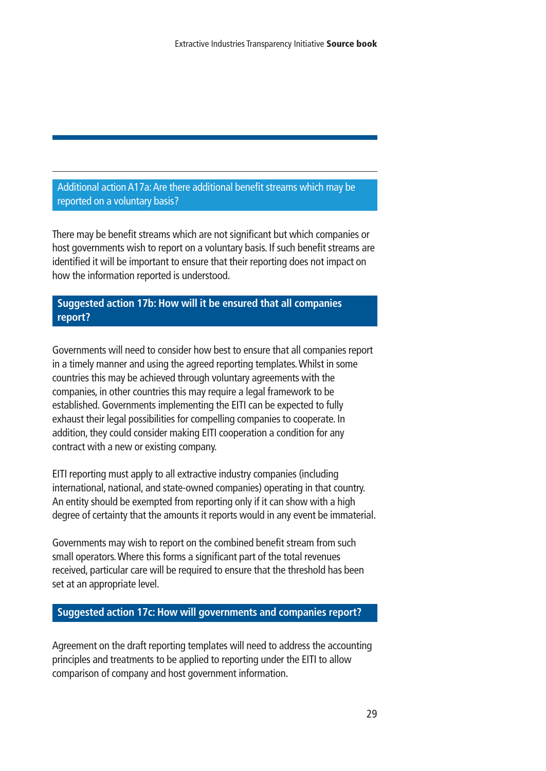Additional action A17a:Are there additional benefit streams which may be reported on a voluntary basis?

There may be benefit streams which are not significant but which companies or host governments wish to report on a voluntary basis. If such benefit streams are identified it will be important to ensure that their reporting does not impact on how the information reported is understood.

**Suggested action 17b: How will it be ensured that all companies report?**

Governments will need to consider how best to ensure that all companies report in a timely manner and using the agreed reporting templates.Whilst in some countries this may be achieved through voluntary agreements with the companies, in other countries this may require a legal framework to be established. Governments implementing the EITI can be expected to fully exhaust their legal possibilities for compelling companies to cooperate. In addition, they could consider making EITI cooperation a condition for any contract with a new or existing company.

EITI reporting must apply to all extractive industry companies (including international, national, and state-owned companies) operating in that country. An entity should be exempted from reporting only if it can show with a high degree of certainty that the amounts it reports would in any event be immaterial.

Governments may wish to report on the combined benefit stream from such small operators.Where this forms a significant part of the total revenues received, particular care will be required to ensure that the threshold has been set at an appropriate level.

**Suggested action 17c: How will governments and companies report?**

Agreement on the draft reporting templates will need to address the accounting principles and treatments to be applied to reporting under the EITI to allow comparison of company and host government information.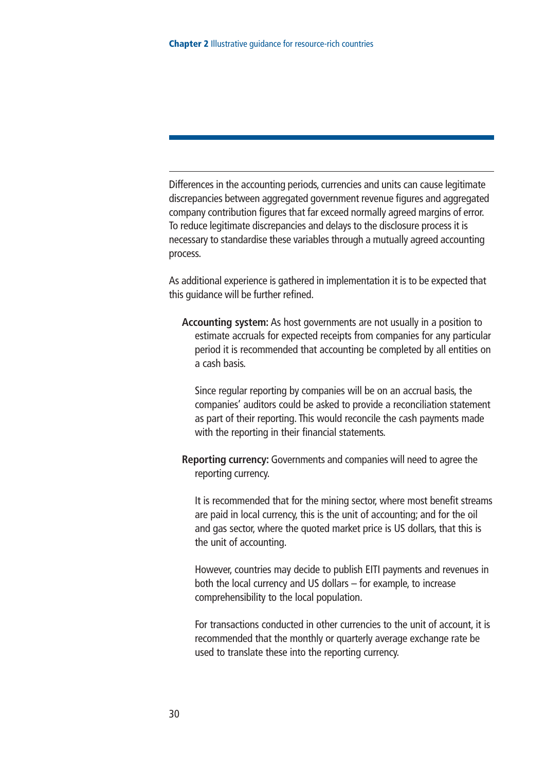Differences in the accounting periods, currencies and units can cause legitimate discrepancies between aggregated government revenue figures and aggregated company contribution figures that far exceed normally agreed margins of error. To reduce legitimate discrepancies and delays to the disclosure process it is necessary to standardise these variables through a mutually agreed accounting process.

As additional experience is gathered in implementation it is to be expected that this guidance will be further refined.

**Accounting system:** As host governments are not usually in a position to estimate accruals for expected receipts from companies for any particular period it is recommended that accounting be completed by all entities on a cash basis.

Since regular reporting by companies will be on an accrual basis, the companies' auditors could be asked to provide a reconciliation statement as part of their reporting. This would reconcile the cash payments made with the reporting in their financial statements.

**Reporting currency:** Governments and companies will need to agree the reporting currency.

It is recommended that for the mining sector, where most benefit streams are paid in local currency, this is the unit of accounting; and for the oil and gas sector, where the quoted market price is US dollars, that this is the unit of accounting.

However, countries may decide to publish EITI payments and revenues in both the local currency and US dollars – for example, to increase comprehensibility to the local population.

For transactions conducted in other currencies to the unit of account, it is recommended that the monthly or quarterly average exchange rate be used to translate these into the reporting currency.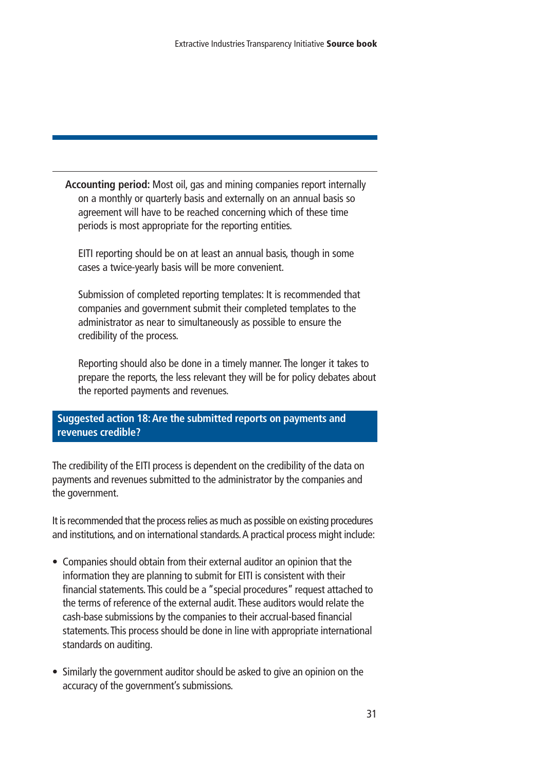**Accounting period:** Most oil, gas and mining companies report internally on a monthly or quarterly basis and externally on an annual basis so agreement will have to be reached concerning which of these time periods is most appropriate for the reporting entities.

EITI reporting should be on at least an annual basis, though in some cases a twice-yearly basis will be more convenient.

Submission of completed reporting templates: It is recommended that companies and government submit their completed templates to the administrator as near to simultaneously as possible to ensure the credibility of the process.

Reporting should also be done in a timely manner. The longer it takes to prepare the reports, the less relevant they will be for policy debates about the reported payments and revenues.

#### **Suggested action 18:Are the submitted reports on payments and revenues credible?**

The credibility of the EITI process is dependent on the credibility of the data on payments and revenues submitted to the administrator by the companies and the government.

It is recommended that the process relies as much as possible on existing procedures and institutions, and on international standards.A practical process might include:

- Companies should obtain from their external auditor an opinion that the information they are planning to submit for EITI is consistent with their financial statements.This could be a "special procedures" request attached to the terms of reference of the external audit.These auditors would relate the cash-base submissions by the companies to their accrual-based financial statements.This process should be done in line with appropriate international standards on auditing.
- Similarly the government auditor should be asked to give an opinion on the accuracy of the government's submissions.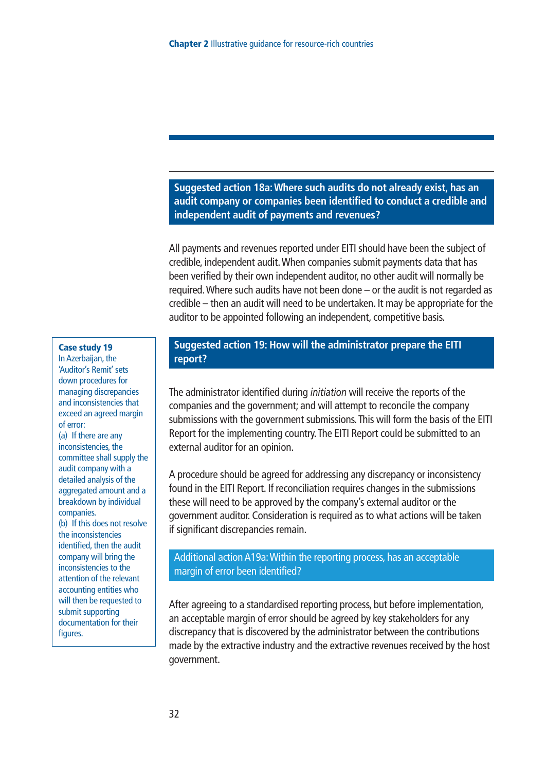**Suggested action 18a:Where such audits do not already exist, has an audit company or companies been identified to conduct a credible and independent audit of payments and revenues?**

All payments and revenues reported under EITI should have been the subject of credible, independent audit.When companies submit payments data that has been verified by their own independent auditor, no other audit will normally be required.Where such audits have not been done – or the audit is not regarded as credible – then an audit will need to be undertaken. It may be appropriate for the auditor to be appointed following an independent, competitive basis.

#### **Case study 19**

In Azerbaijan, the 'Auditor's Remit' sets down procedures for managing discrepancies and inconsistencies that exceed an agreed margin of error:

(a) If there are any inconsistencies, the committee shall supply the audit company with a detailed analysis of the aggregated amount and a breakdown by individual companies.

(b) If this does not resolve the inconsistencies identified, then the audit company will bring the inconsistencies to the attention of the relevant accounting entities who will then be requested to submit supporting documentation for their figures.

#### **Suggested action 19: How will the administrator prepare the EITI report?**

The administrator identified during *initiation* will receive the reports of the companies and the government; and will attempt to reconcile the company submissions with the government submissions.This will form the basis of the EITI Report for the implementing country.The EITI Report could be submitted to an external auditor for an opinion.

A procedure should be agreed for addressing any discrepancy or inconsistency found in the EITI Report. If reconciliation requires changes in the submissions these will need to be approved by the company's external auditor or the government auditor. Consideration is required as to what actions will be taken if significant discrepancies remain.

#### Additional action A19a:Within the reporting process, has an acceptable margin of error been identified?

After agreeing to a standardised reporting process, but before implementation, an acceptable margin of error should be agreed by key stakeholders for any discrepancy that is discovered by the administrator between the contributions made by the extractive industry and the extractive revenues received by the host government.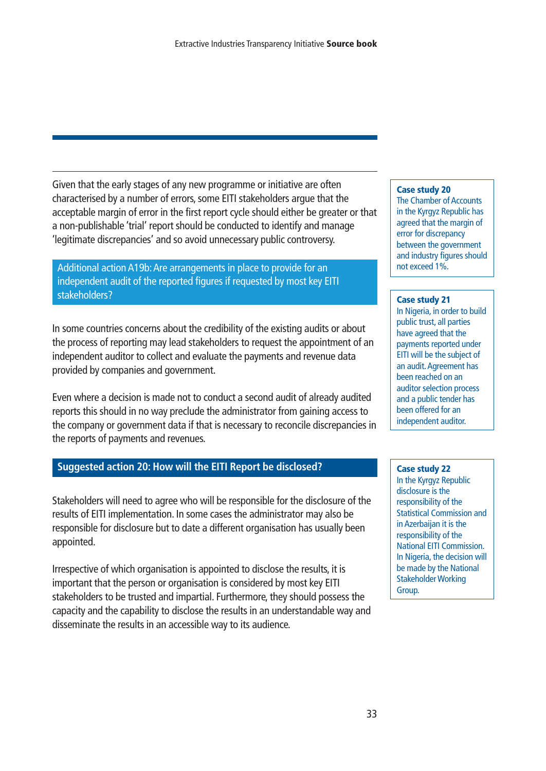Given that the early stages of any new programme or initiative are often characterised by a number of errors, some EITI stakeholders argue that the acceptable margin of error in the first report cycle should either be greater or that a non-publishable 'trial' report should be conducted to identify and manage 'legitimate discrepancies' and so avoid unnecessary public controversy.

Additional action A19b:Are arrangements in place to provide for an independent audit of the reported figures if requested by most key EITI stakeholders?

In some countries concerns about the credibility of the existing audits or about the process of reporting may lead stakeholders to request the appointment of an independent auditor to collect and evaluate the payments and revenue data provided by companies and government.

Even where a decision is made not to conduct a second audit of already audited reports this should in no way preclude the administrator from gaining access to the company or government data if that is necessary to reconcile discrepancies in the reports of payments and revenues.

#### **Suggested action 20: How will the EITI Report be disclosed?**

Stakeholders will need to agree who will be responsible for the disclosure of the results of EITI implementation. In some cases the administrator may also be responsible for disclosure but to date a different organisation has usually been appointed.

Irrespective of which organisation is appointed to disclose the results, it is important that the person or organisation is considered by most key EITI stakeholders to be trusted and impartial. Furthermore, they should possess the capacity and the capability to disclose the results in an understandable way and disseminate the results in an accessible way to its audience.

#### **Case study 20**

The Chamber of Accounts in the Kyrgyz Republic has agreed that the margin of error for discrepancy between the government and industry figures should not exceed 1%.

#### **Case study 21**

In Nigeria, in order to build public trust, all parties have agreed that the payments reported under EITI will be the subject of an audit.Agreement has been reached on an auditor selection process and a public tender has been offered for an independent auditor.

#### **Case study 22**

In the Kyrgyz Republic disclosure is the responsibility of the Statistical Commission and in Azerbaijan it is the responsibility of the National EITI Commission. In Nigeria, the decision will be made by the National Stakeholder Working Group.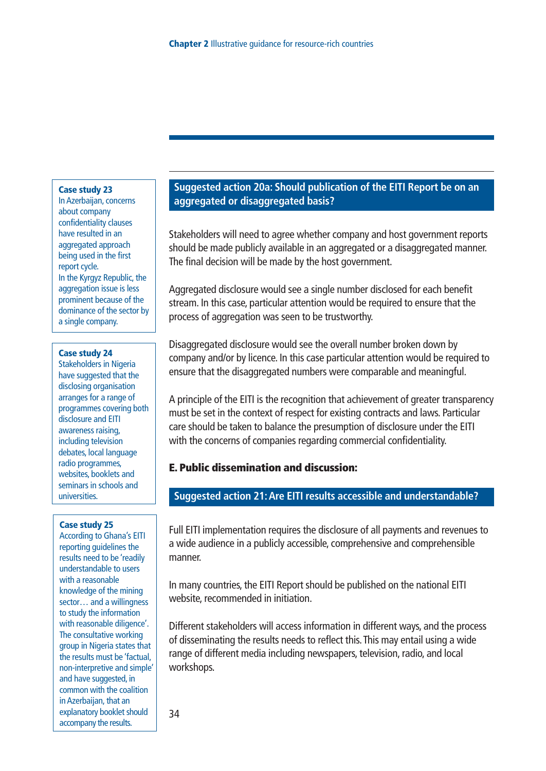#### **Case study 23**

In Azerbaijan, concerns about company confidentiality clauses have resulted in an aggregated approach being used in the first report cycle. In the Kyrgyz Republic, the aggregation issue is less prominent because of the dominance of the sector by a single company.

#### **Case study 24**

Stakeholders in Nigeria have suggested that the disclosing organisation arranges for a range of programmes covering both disclosure and EITI awareness raising, including television debates, local language radio programmes, websites, booklets and seminars in schools and universities.

#### **Case study 25**

According to Ghana's EITI reporting guidelines the results need to be 'readily understandable to users with a reasonable knowledge of the mining sector… and a willingness to study the information with reasonable diligence'. The consultative working group in Nigeria states that the results must be 'factual, non-interpretive and simple' and have suggested, in common with the coalition in Azerbaijan, that an explanatory booklet should accompany the results.

#### **Suggested action 20a: Should publication of the EITI Report be on an aggregated or disaggregated basis?**

Stakeholders will need to agree whether company and host government reports should be made publicly available in an aggregated or a disaggregated manner. The final decision will be made by the host government.

Aggregated disclosure would see a single number disclosed for each benefit stream. In this case, particular attention would be required to ensure that the process of aggregation was seen to be trustworthy.

Disaggregated disclosure would see the overall number broken down by company and/or by licence. In this case particular attention would be required to ensure that the disaggregated numbers were comparable and meaningful.

A principle of the EITI is the recognition that achievement of greater transparency must be set in the context of respect for existing contracts and laws. Particular care should be taken to balance the presumption of disclosure under the EITI with the concerns of companies regarding commercial confidentiality.

#### **E. Public dissemination and discussion:**

#### **Suggested action 21:Are EITI results accessible and understandable?**

Full EITI implementation requires the disclosure of all payments and revenues to a wide audience in a publicly accessible, comprehensive and comprehensible manner.

In many countries, the EITI Report should be published on the national EITI website, recommended in initiation.

Different stakeholders will access information in different ways, and the process of disseminating the results needs to reflect this.This may entail using a wide range of different media including newspapers, television, radio, and local workshops.

34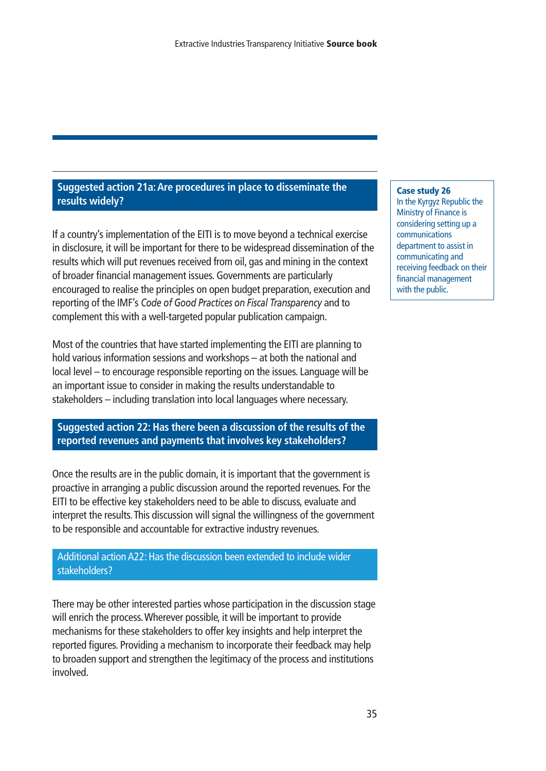#### **Suggested action 21a:Are procedures in place to disseminate the results widely?**

If a country's implementation of the EITI is to move beyond a technical exercise in disclosure, it will be important for there to be widespread dissemination of the results which will put revenues received from oil, gas and mining in the context of broader financial management issues. Governments are particularly encouraged to realise the principles on open budget preparation, execution and reporting of the IMF's *Code of Good Practices on Fiscal Transparency* and to complement this with a well-targeted popular publication campaign.

Most of the countries that have started implementing the EITI are planning to hold various information sessions and workshops – at both the national and local level – to encourage responsible reporting on the issues. Language will be an important issue to consider in making the results understandable to stakeholders – including translation into local languages where necessary.

**Suggested action 22: Has there been a discussion of the results of the reported revenues and payments that involves key stakeholders?** 

Once the results are in the public domain, it is important that the government is proactive in arranging a public discussion around the reported revenues. For the EITI to be effective key stakeholders need to be able to discuss, evaluate and interpret the results.This discussion will signal the willingness of the government to be responsible and accountable for extractive industry revenues.

#### Additional action A22: Has the discussion been extended to include wider stakeholders?

There may be other interested parties whose participation in the discussion stage will enrich the process.Wherever possible, it will be important to provide mechanisms for these stakeholders to offer key insights and help interpret the reported figures. Providing a mechanism to incorporate their feedback may help to broaden support and strengthen the legitimacy of the process and institutions involved.

#### **Case study 26**

In the Kyrgyz Republic the Ministry of Finance is considering setting up a communications department to assist in communicating and receiving feedback on their financial management with the public.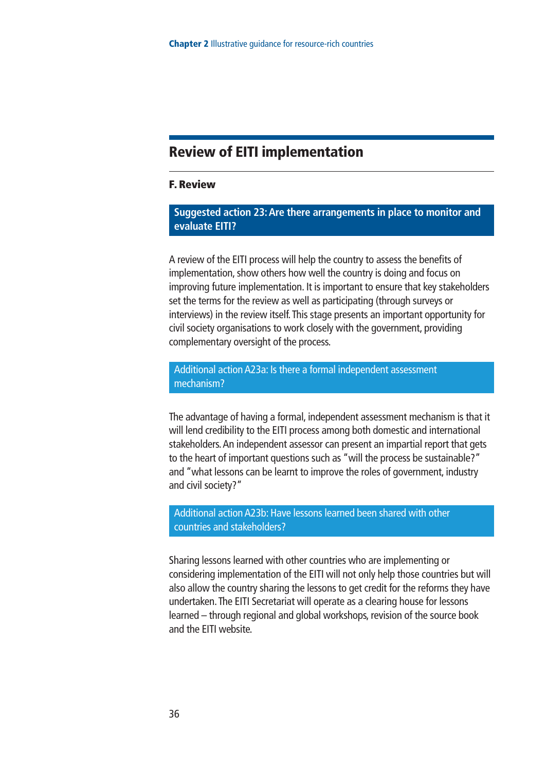#### **Review of EITI implementation**

#### **F. Review**

#### **Suggested action 23:Are there arrangements in place to monitor and evaluate EITI?**

A review of the EITI process will help the country to assess the benefits of implementation, show others how well the country is doing and focus on improving future implementation. It is important to ensure that key stakeholders set the terms for the review as well as participating (through surveys or interviews) in the review itself.This stage presents an important opportunity for civil society organisations to work closely with the government, providing complementary oversight of the process.

#### Additional action A23a: Is there a formal independent assessment mechanism?

The advantage of having a formal, independent assessment mechanism is that it will lend credibility to the EITI process among both domestic and international stakeholders.An independent assessor can present an impartial report that gets to the heart of important questions such as "will the process be sustainable?" and "what lessons can be learnt to improve the roles of government, industry and civil society?"

#### Additional action A23b: Have lessons learned been shared with other countries and stakeholders?

Sharing lessons learned with other countries who are implementing or considering implementation of the EITI will not only help those countries but will also allow the country sharing the lessons to get credit for the reforms they have undertaken.The EITI Secretariat will operate as a clearing house for lessons learned – through regional and global workshops, revision of the source book and the EITI website.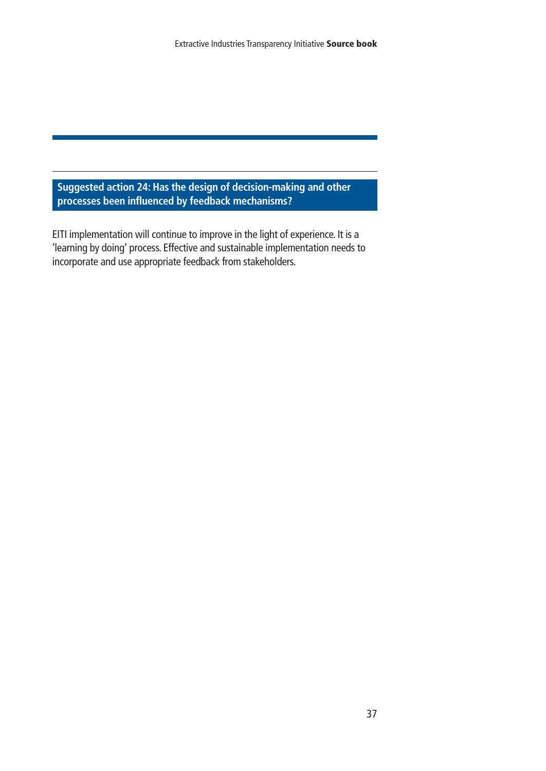**Suggested action 24: Has the design of decision-making and other processes been influenced by feedback mechanisms?**

EITI implementation will continue to improve in the light of experience. It is a 'learning by doing' process. Effective and sustainable implementation needs to incorporate and use appropriate feedback from stakeholders.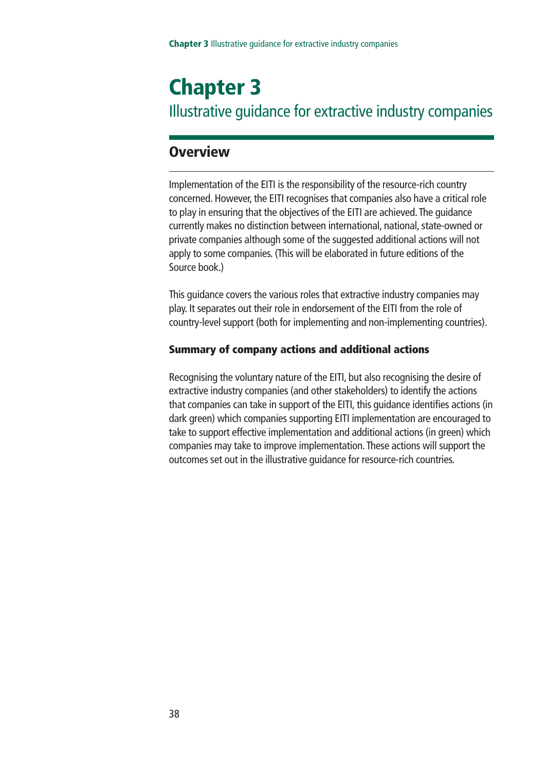## **Chapter 3** Illustrative guidance for extractive industry companies

#### **Overview**

Implementation of the EITI is the responsibility of the resource-rich country concerned. However, the EITI recognises that companies also have a critical role to play in ensuring that the objectives of the EITI are achieved.The guidance currently makes no distinction between international, national, state-owned or private companies although some of the suggested additional actions will not apply to some companies. (This will be elaborated in future editions of the Source book.)

This guidance covers the various roles that extractive industry companies may play. It separates out their role in endorsement of the EITI from the role of country-level support (both for implementing and non-implementing countries).

#### **Summary of company actions and additional actions**

Recognising the voluntary nature of the EITI, but also recognising the desire of extractive industry companies (and other stakeholders) to identify the actions that companies can take in support of the EITI, this guidance identifies actions (in dark green) which companies supporting EITI implementation are encouraged to take to support effective implementation and additional actions (in green) which companies may take to improve implementation.These actions will support the outcomes set out in the illustrative guidance for resource-rich countries.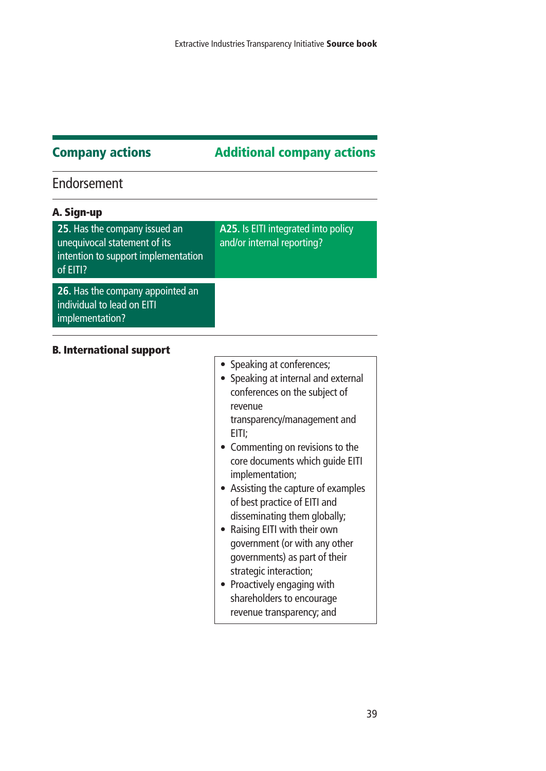#### **Company actions Additional company actions**

#### Endorsement

| A25. Is EITI integrated into policy<br>and/or internal reporting? |
|-------------------------------------------------------------------|
|                                                                   |
|                                                                   |

#### **B. International support**

- Speaking at conferences;
- Speaking at internal and external conferences on the subject of revenue transparency/management and
	- EITI;
- Commenting on revisions to the core documents which guide EITI implementation;
- Assisting the capture of examples of best practice of EITI and disseminating them globally;
- Raising EITI with their own government (or with any other governments) as part of their strategic interaction;
- Proactively engaging with shareholders to encourage revenue transparency; and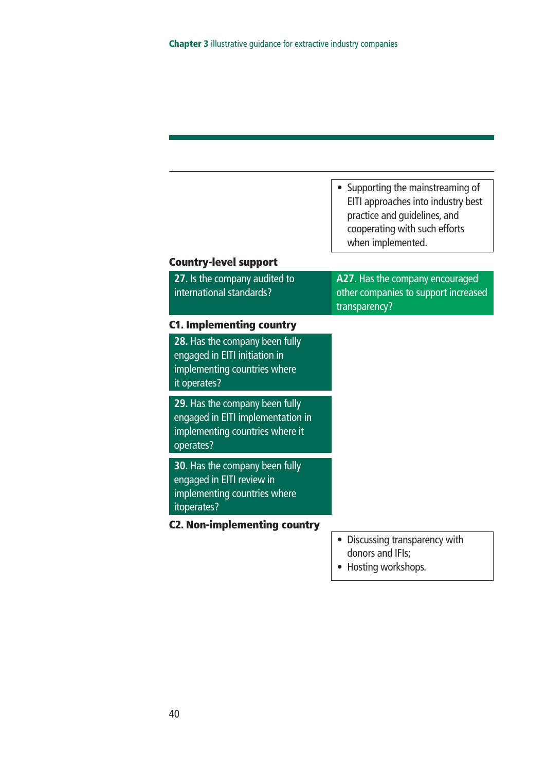|                                                                                                                     | Supporting the mainstreaming of<br>EITI approaches into industry best<br>practice and guidelines, and<br>cooperating with such efforts<br>when implemented. |
|---------------------------------------------------------------------------------------------------------------------|-------------------------------------------------------------------------------------------------------------------------------------------------------------|
| <b>Country-level support</b>                                                                                        |                                                                                                                                                             |
| 27. Is the company audited to<br>international standards?                                                           | A27. Has the company encouraged<br>other companies to support increased<br>transparency?                                                                    |
| <b>C1. Implementing country</b>                                                                                     |                                                                                                                                                             |
| 28. Has the company been fully<br>engaged in EITI initiation in<br>implementing countries where<br>it operates?     |                                                                                                                                                             |
| 29. Has the company been fully<br>engaged in EITI implementation in<br>implementing countries where it<br>operates? |                                                                                                                                                             |
| 30. Has the company been fully<br>engaged in EITI review in<br>implementing countries where<br>itoperates?          |                                                                                                                                                             |
| <b>C2. Non-implementing country</b>                                                                                 |                                                                                                                                                             |
|                                                                                                                     | Discussing transparency with<br>donors and IFIs;                                                                                                            |

• Hosting workshops.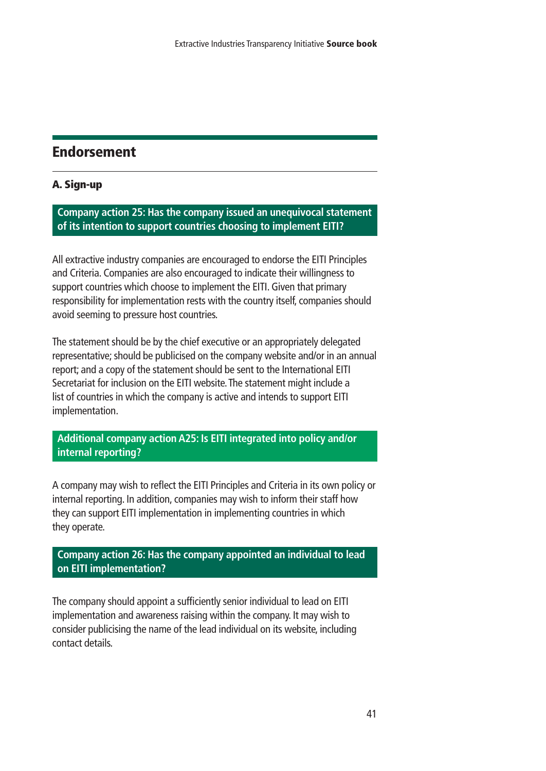### **Endorsement**

#### **A. Sign-up**

**Company action 25: Has the company issued an unequivocal statement of its intention to support countries choosing to implement EITI?**

All extractive industry companies are encouraged to endorse the EITI Principles and Criteria. Companies are also encouraged to indicate their willingness to support countries which choose to implement the EITI. Given that primary responsibility for implementation rests with the country itself, companies should avoid seeming to pressure host countries.

The statement should be by the chief executive or an appropriately delegated representative; should be publicised on the company website and/or in an annual report; and a copy of the statement should be sent to the International EITI Secretariat for inclusion on the EITI website.The statement might include a list of countries in which the company is active and intends to support EITI implementation.

#### **Additional company action A25: Is EITI integrated into policy and/or internal reporting?**

A company may wish to reflect the EITI Principles and Criteria in its own policy or internal reporting. In addition, companies may wish to inform their staff how they can support EITI implementation in implementing countries in which they operate.

**Company action 26: Has the company appointed an individual to lead on EITI implementation?**

The company should appoint a sufficiently senior individual to lead on EITI implementation and awareness raising within the company. It may wish to consider publicising the name of the lead individual on its website, including contact details.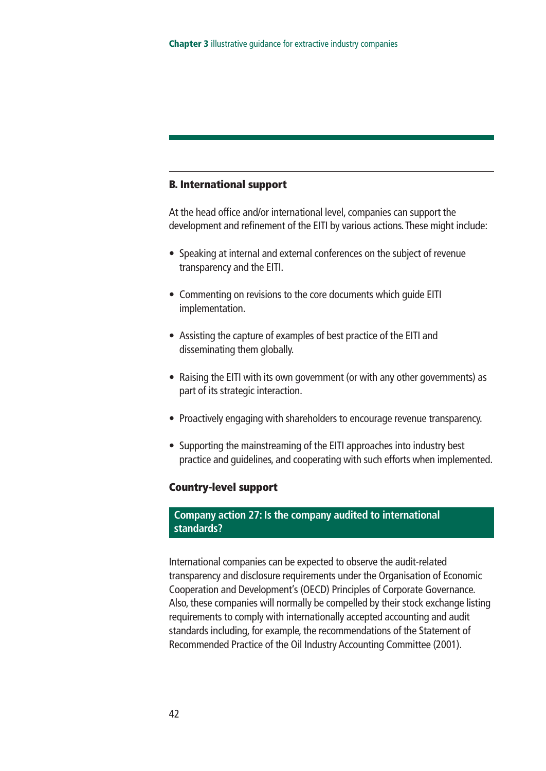#### **B. International support**

At the head office and/or international level, companies can support the development and refinement of the EITI by various actions.These might include:

- Speaking at internal and external conferences on the subject of revenue transparency and the EITI.
- Commenting on revisions to the core documents which guide EITI implementation.
- Assisting the capture of examples of best practice of the EITI and disseminating them globally.
- Raising the EITI with its own government (or with any other governments) as part of its strategic interaction.
- Proactively engaging with shareholders to encourage revenue transparency.
- Supporting the mainstreaming of the EITI approaches into industry best practice and guidelines, and cooperating with such efforts when implemented.

#### **Country-level support**

#### **Company action 27: Is the company audited to international standards?**

International companies can be expected to observe the audit-related transparency and disclosure requirements under the Organisation of Economic Cooperation and Development's (OECD) Principles of Corporate Governance. Also, these companies will normally be compelled by their stock exchange listing requirements to comply with internationally accepted accounting and audit standards including, for example, the recommendations of the Statement of Recommended Practice of the Oil Industry Accounting Committee (2001).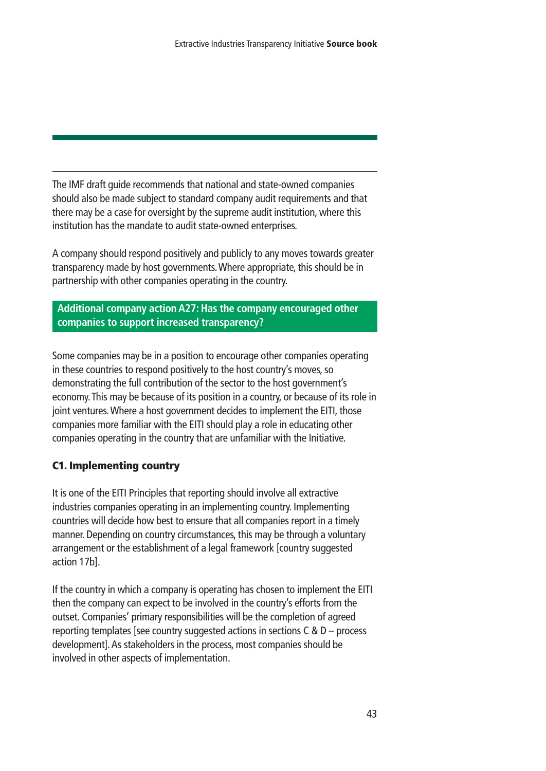The IMF draft guide recommends that national and state-owned companies should also be made subject to standard company audit requirements and that there may be a case for oversight by the supreme audit institution, where this institution has the mandate to audit state-owned enterprises.

A company should respond positively and publicly to any moves towards greater transparency made by host governments.Where appropriate, this should be in partnership with other companies operating in the country.

**Additional company action A27: Has the company encouraged other companies to support increased transparency?**

Some companies may be in a position to encourage other companies operating in these countries to respond positively to the host country's moves, so demonstrating the full contribution of the sector to the host government's economy.This may be because of its position in a country, or because of its role in joint ventures.Where a host government decides to implement the EITI, those companies more familiar with the EITI should play a role in educating other companies operating in the country that are unfamiliar with the Initiative.

#### **C1. Implementing country**

It is one of the EITI Principles that reporting should involve all extractive industries companies operating in an implementing country. Implementing countries will decide how best to ensure that all companies report in a timely manner. Depending on country circumstances, this may be through a voluntary arrangement or the establishment of a legal framework [country suggested action 17b].

If the country in which a company is operating has chosen to implement the EITI then the company can expect to be involved in the country's efforts from the outset. Companies' primary responsibilities will be the completion of agreed reporting templates [see country suggested actions in sections  $C & D$  – process development].As stakeholders in the process, most companies should be involved in other aspects of implementation.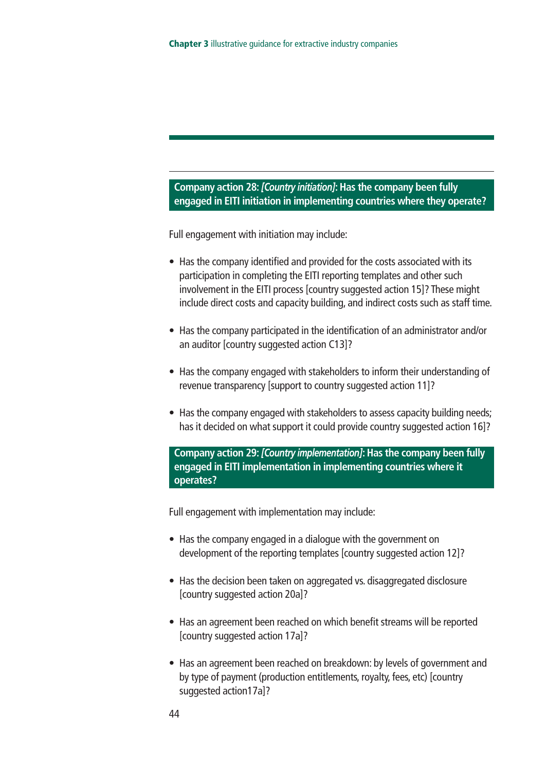#### **Company action 28:***[Country initiation]***:Has the company been fully engaged in EITI initiation in implementing countries where they operate?**

Full engagement with initiation may include:

- Has the company identified and provided for the costs associated with its participation in completing the EITI reporting templates and other such involvement in the EITI process [country suggested action 15]? These might include direct costs and capacity building, and indirect costs such as staff time.
- Has the company participated in the identification of an administrator and/or an auditor [country suggested action C13]?
- Has the company engaged with stakeholders to inform their understanding of revenue transparency [support to country suggested action 11]?
- Has the company engaged with stakeholders to assess capacity building needs; has it decided on what support it could provide country suggested action 16]?

**Company action 29:***[Country implementation]***:Has the company been fully engaged in EITI implementation in implementing countries where it operates?**

Full engagement with implementation may include:

- Has the company engaged in a dialogue with the government on development of the reporting templates [country suggested action 12]?
- Has the decision been taken on aggregated vs. disaggregated disclosure [country suggested action 20a]?
- Has an agreement been reached on which benefit streams will be reported [country suggested action 17a]?
- Has an agreement been reached on breakdown: by levels of government and by type of payment (production entitlements, royalty, fees, etc) [country suggested action17a]?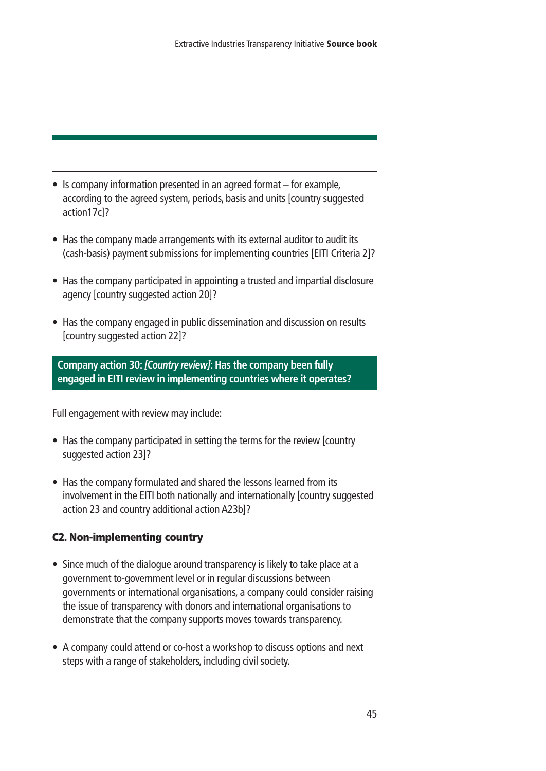- Is company information presented in an agreed format for example, according to the agreed system, periods, basis and units [country suggested action17c]?
- Has the company made arrangements with its external auditor to audit its (cash-basis) payment submissions for implementing countries [EITI Criteria 2]?
- Has the company participated in appointing a trusted and impartial disclosure agency [country suggested action 20]?
- Has the company engaged in public dissemination and discussion on results [country suggested action 22]?

**Company action 30:***[Country review]***:Has the company been fully engaged in EITI review in implementing countries where it operates?**

Full engagement with review may include:

- Has the company participated in setting the terms for the review [country suggested action 23]?
- Has the company formulated and shared the lessons learned from its involvement in the EITI both nationally and internationally [country suggested action 23 and country additional action A23b]?

#### **C2. Non-implementing country**

- Since much of the dialogue around transparency is likely to take place at a government to-government level or in regular discussions between governments or international organisations, a company could consider raising the issue of transparency with donors and international organisations to demonstrate that the company supports moves towards transparency.
- A company could attend or co-host a workshop to discuss options and next steps with a range of stakeholders, including civil society.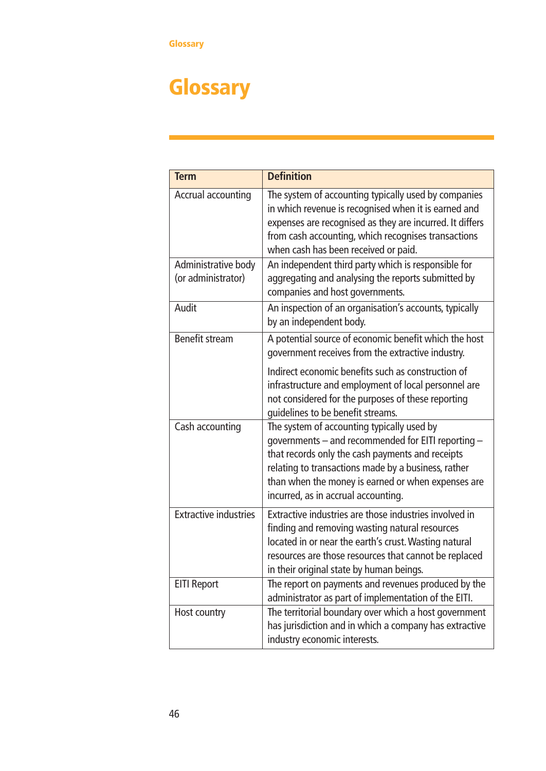# **Glossary**

| <b>Term</b>                               | <b>Definition</b>                                                                                                                                                                                                                                                                                        |
|-------------------------------------------|----------------------------------------------------------------------------------------------------------------------------------------------------------------------------------------------------------------------------------------------------------------------------------------------------------|
| Accrual accounting                        | The system of accounting typically used by companies<br>in which revenue is recognised when it is earned and<br>expenses are recognised as they are incurred. It differs<br>from cash accounting, which recognises transactions<br>when cash has been received or paid.                                  |
| Administrative body<br>(or administrator) | An independent third party which is responsible for<br>aggregating and analysing the reports submitted by<br>companies and host governments.                                                                                                                                                             |
| Audit                                     | An inspection of an organisation's accounts, typically<br>by an independent body.                                                                                                                                                                                                                        |
| <b>Benefit stream</b>                     | A potential source of economic benefit which the host<br>government receives from the extractive industry.                                                                                                                                                                                               |
|                                           | Indirect economic benefits such as construction of<br>infrastructure and employment of local personnel are<br>not considered for the purposes of these reporting<br>guidelines to be benefit streams.                                                                                                    |
| Cash accounting                           | The system of accounting typically used by<br>governments - and recommended for EITI reporting -<br>that records only the cash payments and receipts<br>relating to transactions made by a business, rather<br>than when the money is earned or when expenses are<br>incurred, as in accrual accounting. |
| <b>Extractive industries</b>              | Extractive industries are those industries involved in<br>finding and removing wasting natural resources<br>located in or near the earth's crust. Wasting natural<br>resources are those resources that cannot be replaced<br>in their original state by human beings.                                   |
| <b>EITI Report</b>                        | The report on payments and revenues produced by the<br>administrator as part of implementation of the EITI.                                                                                                                                                                                              |
| Host country                              | The territorial boundary over which a host government<br>has jurisdiction and in which a company has extractive<br>industry economic interests.                                                                                                                                                          |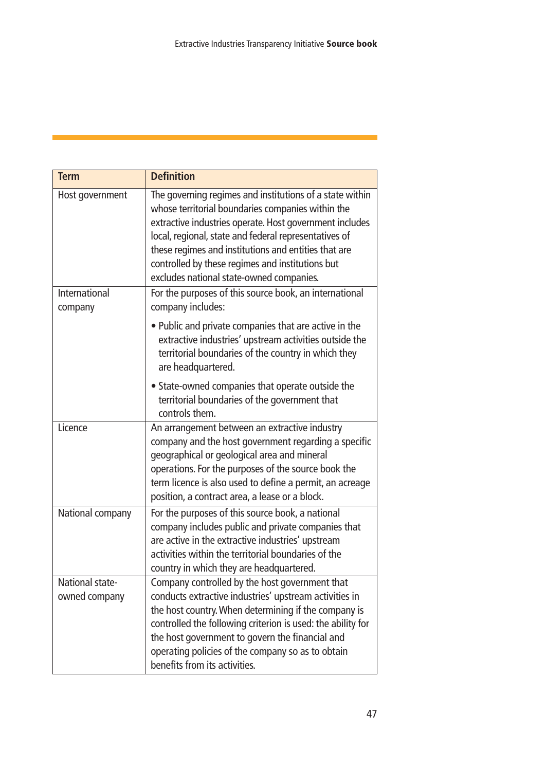| <b>Term</b>                      | <b>Definition</b>                                                                                                                                                                                                                                                                                                                                                                         |
|----------------------------------|-------------------------------------------------------------------------------------------------------------------------------------------------------------------------------------------------------------------------------------------------------------------------------------------------------------------------------------------------------------------------------------------|
| Host government                  | The governing regimes and institutions of a state within<br>whose territorial boundaries companies within the<br>extractive industries operate. Host government includes<br>local, regional, state and federal representatives of<br>these regimes and institutions and entities that are<br>controlled by these regimes and institutions but<br>excludes national state-owned companies. |
| International<br>company         | For the purposes of this source book, an international<br>company includes:                                                                                                                                                                                                                                                                                                               |
|                                  | • Public and private companies that are active in the<br>extractive industries' upstream activities outside the<br>territorial boundaries of the country in which they<br>are headquartered.                                                                                                                                                                                              |
|                                  | • State-owned companies that operate outside the<br>territorial boundaries of the government that<br>controls them.                                                                                                                                                                                                                                                                       |
| Licence                          | An arrangement between an extractive industry<br>company and the host government regarding a specific<br>geographical or geological area and mineral<br>operations. For the purposes of the source book the<br>term licence is also used to define a permit, an acreage<br>position, a contract area, a lease or a block.                                                                 |
| National company                 | For the purposes of this source book, a national<br>company includes public and private companies that<br>are active in the extractive industries' upstream<br>activities within the territorial boundaries of the<br>country in which they are headquartered.                                                                                                                            |
| National state-<br>owned company | Company controlled by the host government that<br>conducts extractive industries' upstream activities in<br>the host country. When determining if the company is<br>controlled the following criterion is used: the ability for<br>the host government to govern the financial and<br>operating policies of the company so as to obtain<br>benefits from its activities.                  |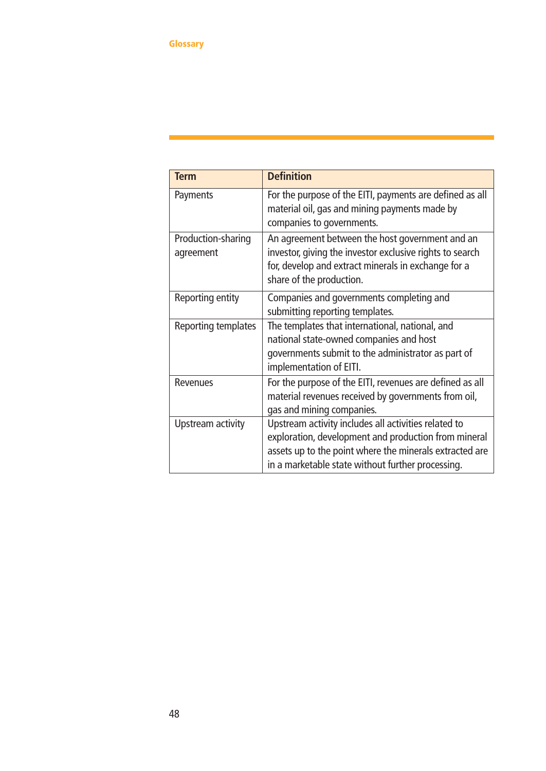| <b>Term</b>                     | <b>Definition</b>                                                                                                                                                                                                            |
|---------------------------------|------------------------------------------------------------------------------------------------------------------------------------------------------------------------------------------------------------------------------|
| Payments                        | For the purpose of the EITI, payments are defined as all<br>material oil, gas and mining payments made by<br>companies to governments.                                                                                       |
| Production-sharing<br>agreement | An agreement between the host government and an<br>investor, giving the investor exclusive rights to search<br>for, develop and extract minerals in exchange for a<br>share of the production.                               |
| Reporting entity                | Companies and governments completing and<br>submitting reporting templates.                                                                                                                                                  |
| Reporting templates             | The templates that international, national, and<br>national state-owned companies and host<br>governments submit to the administrator as part of<br>implementation of EITI.                                                  |
| <b>Revenues</b>                 | For the purpose of the EITI, revenues are defined as all<br>material revenues received by governments from oil,<br>gas and mining companies.                                                                                 |
| Upstream activity               | Upstream activity includes all activities related to<br>exploration, development and production from mineral<br>assets up to the point where the minerals extracted are<br>in a marketable state without further processing. |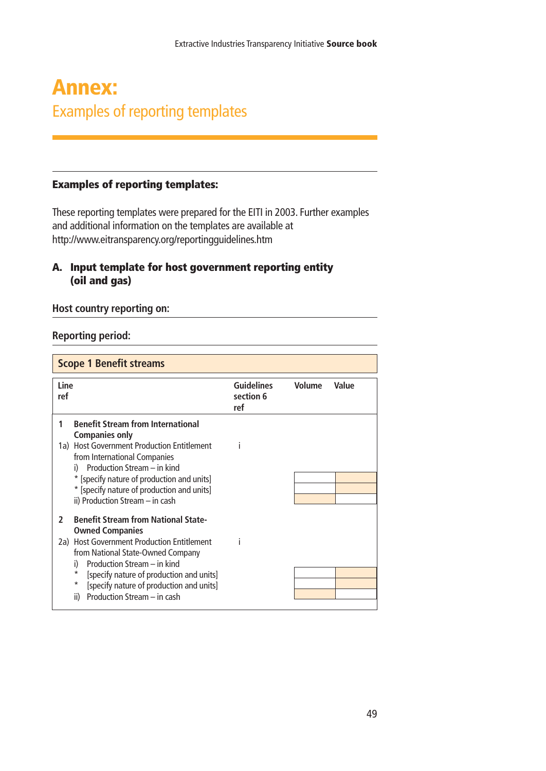## **Annex:** Examples of reporting templates

#### **Examples of reporting templates:**

These reporting templates were prepared for the EITI in 2003. Further examples and additional information on the templates are available at http://www.eitransparency.org/reportingguidelines.htm

#### **A. Input template for host government reporting entity (oil and gas)**

#### **Host country reporting on:**

#### **Reporting period:**

| <b>Scope 1 Benefit streams</b>                                                                                                                                                                                                                                                                                                                              |                                       |               |       |  |
|-------------------------------------------------------------------------------------------------------------------------------------------------------------------------------------------------------------------------------------------------------------------------------------------------------------------------------------------------------------|---------------------------------------|---------------|-------|--|
| <b>Line</b><br>ref                                                                                                                                                                                                                                                                                                                                          | <b>Guidelines</b><br>section 6<br>ref | <b>Volume</b> | Value |  |
| <b>Benefit Stream from International</b><br>1<br><b>Companies only</b><br>1a) Host Government Production Entitlement<br>from International Companies<br>Production Stream - in kind<br>i)<br>* [specify nature of production and units]<br>* [specify nature of production and units]<br>ii) Production Stream - in cash                                    |                                       |               |       |  |
| <b>Benefit Stream from National State-</b><br>$\mathbf{c}$<br><b>Owned Companies</b><br>2a) Host Government Production Entitlement<br>from National State-Owned Company<br>Production Stream - in kind<br>i)<br>*<br>[specify nature of production and units]<br>$^\star$<br>[specify nature of production and units]<br>Production Stream - in cash<br>ii) |                                       |               |       |  |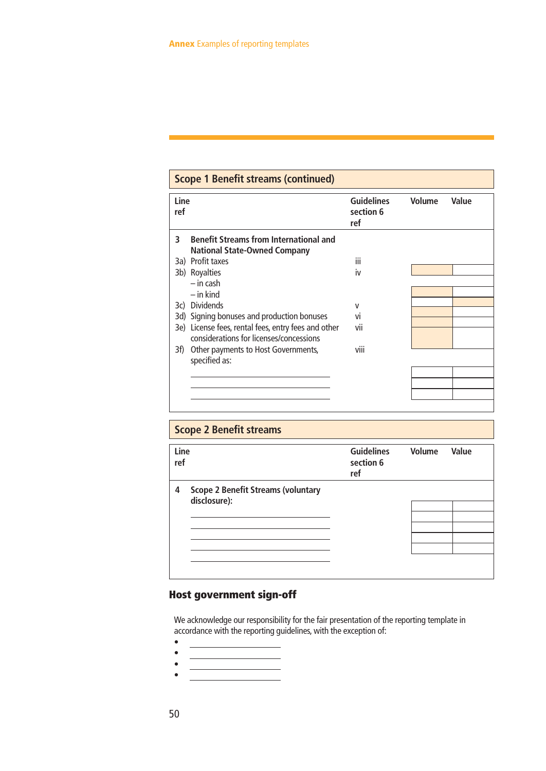#### iii iv v vi vii viii **3 Benefit Streams from International and National State-Owned Company** 3a) Profit taxes 3b) Royalties – in cash – in kind 3c) Dividends 3d) Signing bonuses and production bonuses 3e) License fees, rental fees, entry fees and other considerations for licenses/concessions 3f) Other payments to Host Governments, specified as: Line **Line** Contains Container Container Container Container Container Container Container Container Container<br>
Section 6 **section 6 ref Scope 1 Benefit streams (continued)**

| <b>Scope 2 Benefit streams</b><br>Line<br>ref                  | <b>Guidelines</b><br>section 6<br>ref | Volume | Value |
|----------------------------------------------------------------|---------------------------------------|--------|-------|
| <b>Scope 2 Benefit Streams (voluntary</b><br>4<br>disclosure): |                                       |        |       |

#### **Host government sign-off**

We acknowledge our responsibility for the fair presentation of the reporting template in accordance with the reporting guidelines, with the exception of:

- •
- •
- •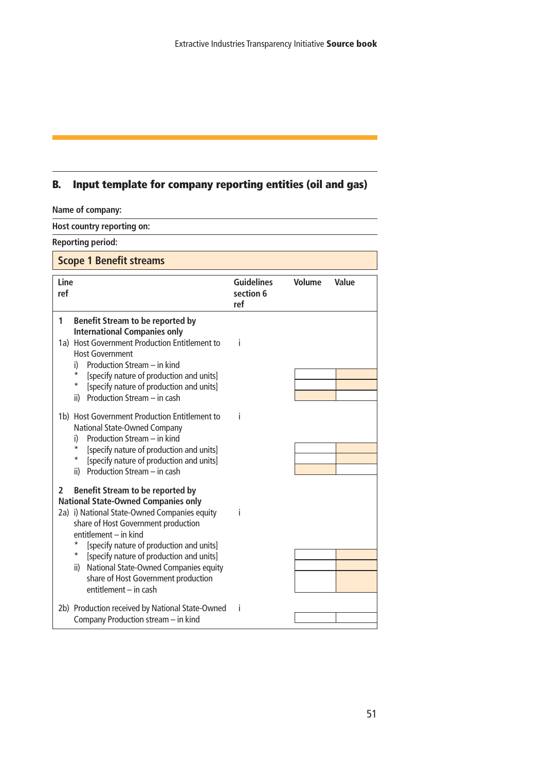#### **B. Input template for company reporting entities (oil and gas)**

| Name of company:                                                                                                                                                                                                                                                                                                                                                                                                                                                                                                                                                                                                 |                                       |               |       |
|------------------------------------------------------------------------------------------------------------------------------------------------------------------------------------------------------------------------------------------------------------------------------------------------------------------------------------------------------------------------------------------------------------------------------------------------------------------------------------------------------------------------------------------------------------------------------------------------------------------|---------------------------------------|---------------|-------|
| Host country reporting on:                                                                                                                                                                                                                                                                                                                                                                                                                                                                                                                                                                                       |                                       |               |       |
| <b>Reporting period:</b>                                                                                                                                                                                                                                                                                                                                                                                                                                                                                                                                                                                         |                                       |               |       |
| <b>Scope 1 Benefit streams</b>                                                                                                                                                                                                                                                                                                                                                                                                                                                                                                                                                                                   |                                       |               |       |
| Line<br>ref                                                                                                                                                                                                                                                                                                                                                                                                                                                                                                                                                                                                      | <b>Guidelines</b><br>section 6<br>ref | <b>Volume</b> | Value |
| 1<br><b>Benefit Stream to be reported by</b><br><b>International Companies only</b><br>1a) Host Government Production Entitlement to<br><b>Host Government</b><br>Production Stream - in kind<br>i)<br>*<br>[specify nature of production and units]<br>*<br>[specify nature of production and units]<br>Production Stream - in cash<br>ii)<br>1b) Host Government Production Entitlement to<br>National State-Owned Company<br>Production Stream - in kind<br>i)<br>*<br>[specify nature of production and units]<br>$^\star$<br>[specify nature of production and units]<br>Production Stream - in cash<br>ii) | j<br>j                                |               |       |
| Benefit Stream to be reported by<br>2<br><b>National State-Owned Companies only</b><br>2a) i) National State-Owned Companies equity<br>share of Host Government production<br>entitlement - in kind<br>*<br>[specify nature of production and units]<br>*<br>[specify nature of production and units]<br>National State-Owned Companies equity<br>ii)<br>share of Host Government production<br>entitlement - in cash                                                                                                                                                                                            | i                                     |               |       |
| 2b) Production received by National State-Owned<br>Company Production stream - in kind                                                                                                                                                                                                                                                                                                                                                                                                                                                                                                                           | Î                                     |               |       |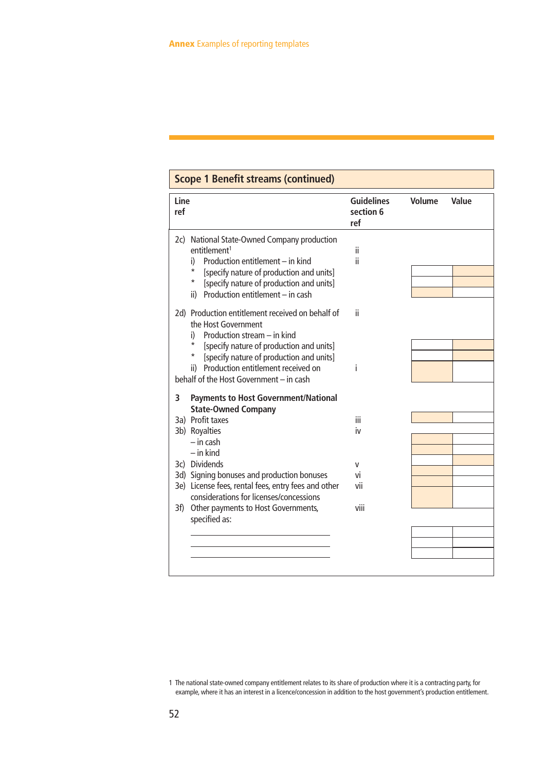| Line<br>ref |                                                                                                                                                                                                                                                        | <b>Guidelines</b><br>section 6<br>ref | Volume | Value |
|-------------|--------------------------------------------------------------------------------------------------------------------------------------------------------------------------------------------------------------------------------------------------------|---------------------------------------|--------|-------|
|             | 2c) National State-Owned Company production<br>entitlement <sup>1</sup><br>Production entitlement - in kind<br>i)<br>[specify nature of production and units]<br>*<br>[specify nature of production and units]<br>ii) Production entitlement - in cash | ii.<br>ii.                            |        |       |
|             | 2d) Production entitlement received on behalf of<br>the Host Government<br>Production stream - in kind<br>i)<br>[specify nature of production and units]<br>*<br>[specify nature of production and units]<br>ii) Production entitlement received on    | ii.<br>i                              |        |       |
|             | behalf of the Host Government - in cash                                                                                                                                                                                                                |                                       |        |       |
| 3           | <b>Payments to Host Government/National</b><br><b>State-Owned Company</b>                                                                                                                                                                              |                                       |        |       |
|             | 3a) Profit taxes                                                                                                                                                                                                                                       | iii                                   |        |       |
|             | 3b) Royalties<br>$-$ in cash<br>$-$ in kind                                                                                                                                                                                                            | iv                                    |        |       |
|             | 3c) Dividends                                                                                                                                                                                                                                          | v                                     |        |       |
|             | 3d) Signing bonuses and production bonuses                                                                                                                                                                                                             | vi                                    |        |       |
|             | 3e) License fees, rental fees, entry fees and other<br>considerations for licenses/concessions                                                                                                                                                         | vii                                   |        |       |
| 3f)         | Other payments to Host Governments,<br>specified as:                                                                                                                                                                                                   | viii                                  |        |       |
|             |                                                                                                                                                                                                                                                        |                                       |        |       |
|             |                                                                                                                                                                                                                                                        |                                       |        |       |
|             |                                                                                                                                                                                                                                                        |                                       |        |       |

<sup>1</sup> The national state-owned company entitlement relates to its share of production where it is a contracting party, for example, where it has an interest in a licence/concession in addition to the host government's production entitlement.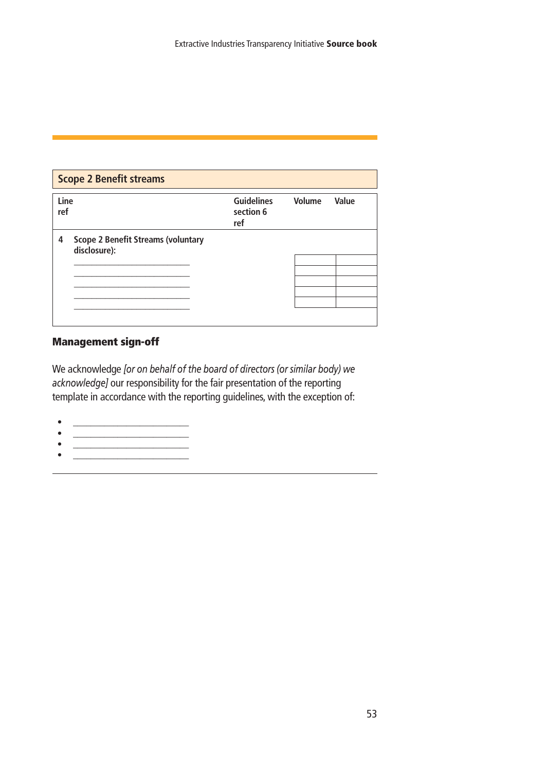| <b>Scope 2 Benefit streams</b> |                                                           |                                       |        |       |  |
|--------------------------------|-----------------------------------------------------------|---------------------------------------|--------|-------|--|
| Line<br>ref                    |                                                           | <b>Guidelines</b><br>section 6<br>ref | Volume | Value |  |
| 4                              | <b>Scope 2 Benefit Streams (voluntary</b><br>disclosure): |                                       |        |       |  |
|                                |                                                           |                                       |        |       |  |

#### **Management sign-off**

We acknowledge *[or on behalf of the board of directors (or similar body) we acknowledge]* our responsibility for the fair presentation of the reporting template in accordance with the reporting guidelines, with the exception of:

- \_\_\_\_\_\_\_\_\_\_\_\_\_\_\_\_\_\_\_\_\_\_\_\_\_\_
- \_\_\_\_\_\_\_\_\_\_\_\_\_\_\_\_\_\_\_\_\_\_\_\_\_\_  $\bullet$   $\qquad \qquad$
- $\mathcal{L}=\frac{1}{\sqrt{2\pi\sigma^2}}\left[\frac{1}{\sqrt{2\pi\sigma^2}}\frac{\left(\frac{1}{\sqrt{2\pi\sigma^2}}\right)^2}{\left(\frac{1}{\sqrt{2\pi\sigma^2}}\right)^2}\right],$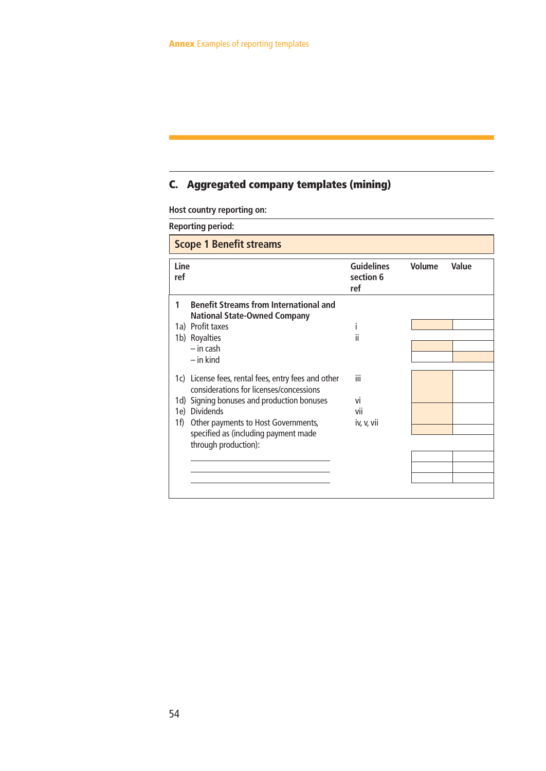#### **C. Aggregated company templates (mining)**

**Host country reporting on:**

**Reporting period:**

| <b>Scope 1 Benefit streams</b> |                                                                                                                                                                                                                                                                         |                                       |        |       |  |
|--------------------------------|-------------------------------------------------------------------------------------------------------------------------------------------------------------------------------------------------------------------------------------------------------------------------|---------------------------------------|--------|-------|--|
| Line<br>ref                    |                                                                                                                                                                                                                                                                         | <b>Guidelines</b><br>section 6<br>ref | Volume | Value |  |
| 1                              | <b>Benefit Streams from International and</b><br><b>National State-Owned Company</b><br>1a) Profit taxes<br>1b) Royalties<br>$-$ in cash<br>$-$ in kind                                                                                                                 | T<br>ii                               |        |       |  |
| 1e)<br>1f)                     | 1c) License fees, rental fees, entry fees and other<br>considerations for licenses/concessions<br>1d) Signing bonuses and production bonuses<br><b>Dividends</b><br>Other payments to Host Governments,<br>specified as (including payment made<br>through production): | iii<br>vi<br>vii<br>iv, v, vii        |        |       |  |

 $\overline{\phantom{0}}$